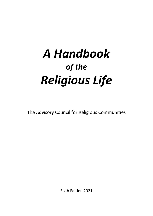# *A Handbook of the Religious Life*

The Advisory Council for Religious Communities

Sixth Edition 2021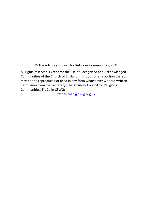© The Advisory Council for Religious Communities, 2021

All rights reserved. Except for the use of Recognised and Acknowledged Communities of the Church of England, this book or any portion thereof may not be reproduced or used in any form whatsoever without written permission from the Secretary, The Advisory Council for Religious Communities, Fr. Colin CSWG:

[father.colin@cswg.org.uk](mailto:father.colin@cswg.org.uk)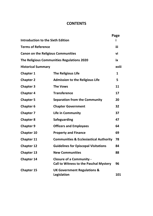# **CONTENTS**

|                                           |                                                                                  | Page  |
|-------------------------------------------|----------------------------------------------------------------------------------|-------|
| <b>Introduction to the Sixth Edition</b>  |                                                                                  |       |
| <b>Terms of Reference</b>                 |                                                                                  |       |
| <b>Canon on the Religious Communities</b> |                                                                                  | vi    |
|                                           | The Religious Communities Regulations 2020                                       | iх    |
| <b>Historical Summary</b>                 |                                                                                  | xviii |
| <b>Chapter 1</b>                          | The Religious Life                                                               | 1     |
| <b>Chapter 2</b>                          | <b>Admission to the Religious Life</b>                                           | 5.    |
| <b>Chapter 3</b>                          | <b>The Vows</b>                                                                  | 11    |
| <b>Chapter 4</b>                          | <b>Transference</b>                                                              | 17    |
| <b>Chapter 5</b>                          | <b>Separation from the Community</b>                                             | 20    |
| <b>Chapter 6</b>                          | <b>Chapter Government</b>                                                        | 32    |
| <b>Chapter 7</b>                          | Life in Community                                                                | 37    |
| <b>Chapter 8</b>                          | Safeguarding                                                                     | 47    |
| <b>Chapter 9</b>                          | <b>Officers and Employees</b>                                                    | 64    |
| Chapter 10                                | <b>Property and Finance</b>                                                      | 69    |
| Chapter 11                                | <b>Communities &amp; Ecclesiastical Authority</b>                                | 78    |
| <b>Chapter 12</b>                         | <b>Guidelines for Episcopal Visitations</b>                                      | 84    |
| <b>Chapter 13</b>                         | <b>New Communities</b>                                                           | 88    |
| Chapter 14                                | <b>Closure of a Community -</b><br><b>Call to Witness to the Paschal Mystery</b> | 96    |
| <b>Chapter 15</b>                         | UK Government Regulations &<br>Legislation                                       | 101   |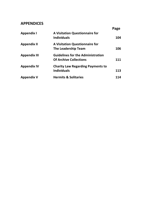# **APPENDICES**

|                     |                                                             | Page |
|---------------------|-------------------------------------------------------------|------|
| Appendix I          | <b>A Visitation Questionnaire for</b><br><b>Individuals</b> | 104  |
| Appendix II         | <b>A Visitation Questionnaire for</b>                       |      |
|                     | The Leadership Team                                         | 106  |
| <b>Appendix III</b> | <b>Guidelines for the Administration</b>                    |      |
|                     | <b>Of Archive Collections</b>                               | 111  |
| <b>Appendix IV</b>  | <b>Charity Law Regarding Payments to</b>                    |      |
|                     | <b>Individuals</b>                                          | 113  |
| Appendix V          | <b>Hermits &amp; Solitaries</b>                             | 114  |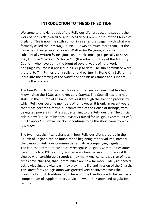# **INTRODUCTION TO THE SIXTH EDITION**

Welcome to this Handbook of the Religious Life, produced to support the work of both Acknowledged and Recognised Communities of the Church of England. This is now the sixth edition in a series that began, with what was formerly called the *Directory,* in 1943, However, much more than just the name has changed over 75 years. Written *for* Religious, it is also substantially written *by* Religious, and thanks must go especially to Sr Anita CSC, Fr. Colin CSWG and Sr Joyce CSF (the sub-committee of the Advisory Council), who have borne the brunt of several years of hard work in bringing a volume last revised in 2004 up to date. The sub-committee were grateful to Tim Rutherford, a solicitor and partner in Stone King LLP, for his input into the drafting of the *Handbook* and his assistance and support during the process.

The *Handbook* derives such authority as it possesses from what has been known since the 1930s as the *Advisory Council.* The Council has long had status in the Church of England, not least through the election process by which Religious become members of it; however, it is only in recent years that it has become a formal subcommittee of the House of Bishops, with delegated powers in matters appertaining to the Religious Life. The official title is now "House of Bishops Advisory Council for Religious Communities", but *Advisory Council* will no doubt continue to be the short name by which it is known.

The two most significant changes in how Religious Life is ordered in the Church of England can be found at the beginning of this volume, namely the Canon on Religious Communities and its accompanying Regulations. The earliest attempt to canonically recognise Religious Communities dates back to the late 19th century, and an era when the very notion was still viewed with considerable scepticism by many Anglicans. It is a sign of how times have changed, that Communities are now far more widely respected, acknowledging the vital part they play in the life and mission of the Church. This latest foray at legislation was greeted very positively across the breadth of church tradition. From here on, the Handbook is to be read as a compendium of supplementary advice to what the Canon and Regulations require.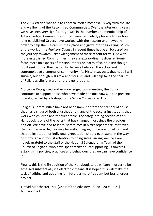The 2004 edition was able to concern itself almost exclusively with the life and wellbeing of the Recognised Communities. Over the intervening years we have seen very significant growth in the number and membership of Acknowledged Communities. It has been particularly pleasing to see how long-established Orders have worked with the nascent and newborn in order to help them establish their place and grow into their calling. Much of the work of the *Advisory Council* in recent times has been focussed on the journey towards Acknowledgement of these recent arrivals. As with more established Communities, they are extraordinarily diverse. Some focus more on aspects of mission, others on paths of spirituality; though most seek to find their particular balance between the active and contemplative elements of community life. History suggests that not all will survive, but enough will grow and flourish, and will help take the charism of Religious Life forward to future generations.

Alongside Recognised and Acknowledged Communities, the Council continues to support those who have made personal vows, in the presence of and guarded by a bishop, to the Single Consecrated Life.

Religious Communities have not been immune from the scandal of abuse that has disfigured both churches and many of the secular institutions that work with children and the vulnerable. The safeguarding section of this Handbook is one of the parts that has changed most since the previous edition. We have had to learn, sometimes in bitter repentance, that even the most revered figures may be guilty of egregious sins and failings, and that no institution or individual's reputation should ever stand in the way of thorough and robust attention to doing safeguarding well. We are hugely grateful to the staff of the National Safeguarding Team of the Church of England, who have spent many hours supporting us towards establishing policies, practices and behaviours that we can have confidence in.

Finally, this is the first edition of the Handbook to be written in order to be accessed substantially via electronic means. It is hoped this will make the task of editing and updating it in future a more frequent but less onerous project.

+David Manchester TSSF (Chair of the Advisory Council, 2008-2021) January 2021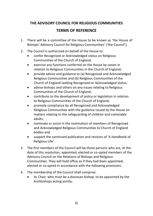# **THE ADVISORY COUNCIL FOR RELIGIOUS COMMUNITIES TERMS OF REFERENCE**

- 1. There will be a committee of the House to be known as 'the House of Bishops' Advisory Council for Religious Communities' ('the Council').
- 2. The Council is authorized on behalf of the House to:
	- confer Recognised or Acknowledged status on Religious Communities of the Church of England;
	- exercise any functions conferred on the House by canon in relation to Religious Communities in the Church of England;
	- provide advice and guidance to (a) Recognised and Acknowledged Religious Communities and (b) Religious Communities of the Church of England seeking Recognised or Acknowledged status;
	- advise bishops and others on any issues relating to Religious Communities of the Church of England;
	- contribute to the development of policy or legislation in relation to Religious Communities of the Church of England;
	- promote compliance by all Recognised and Acknowledged Religious Communities with the guidance issued by the House on matters relating to the safeguarding of children and vulnerable adults;
	- nominate or assist in the nomination of members of Recognised and Acknowledged Religious Communities to Church of England bodies and
	- support the continued publication and revision of 'A Handbook of Religious Life'.
- 3. The first members of the Council will be those persons who are, at the date of this resolution, appointed, elected or co-opted members of the Advisory Council on the Relations of Bishops and Religious Communities. They will hold office as if they had been appointed, elected or co-opted in accordance with the following provisions.
- 4. The membership of the Council shall comprise:
	- its Chair, who must be a diocesan bishop, to be appointed by the Archbishops acting jointly;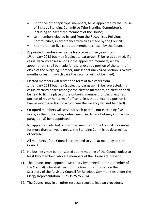- up to five other episcopal members, to be appointed by the House of Bishops Standing Committee ('the Standing Committee'), including at least three members of the House;
- ten members elected by and from the Recognised Religious Communities, in accordance with rules made by the Council;
- not more than five co-opted members, chosen by the Council.
- 5. Appointed members will serve for a term of five years from 1 st January 2018 but may (subject to paragraph 8) be re-appointed. If a casual vacancy arises amongst the appointed members, a new appointment shall be made for the unexpired portion of the term of office of the outgoing member, unless that unexpired portion is twelve months or less (in which case the vacancy will not be filled).
- 6. Elected members will serve for a term of five years from 1<sup>st</sup> January 2018 but may (subject to paragraph 8) be re-elected. If a casual vacancy arises amongst the elected members, an election shall be held to fill the place of the outgoing member, for the unexpired portion of his or her term of office, unless that unexpired portion is twelve months or less (in which case the vacancy will not be filled).
- 7. Co-opted members will serve for such period , not exceeding five years, as the Council may determine in each case but may (subject to paragraph 8) be reappointed.
- 8. No appointed, elected or co-opted member of the Council may serve for more than ten years unless the Standing Committee determines otherwise.
- 9. All members of the Council are entitled to vote at meetings of the Council.
- 10. No business may be transacted at any meeting of the Council unless at least two members who are members of the House are present.
- 11. The Council must appoint a Secretary (who need not be a member of the Council), who shall perform the functions imposed on the Secretary of the Advisory Council for Religious Communities under the Clergy Representation Rules 1975 to 2014.
- 12. The Council may in all other respects regulate its own procedure.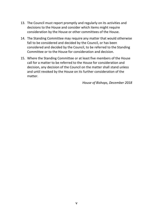- 13. The Council must report promptly and regularly on its activities and decisions to the House and consider which items might require consideration by the House or other committees of the House.
- 14. The Standing Committee may require any matter that would otherwise fall to be considered and decided by the Council, or has been considered and decided by the Council, to be referred to the Standing Committee or to the House for consideration and decision.
- 15. Where the Standing Committee or at least five members of the House call for a matter to be referred to the House for consideration and decision, any decision of the Council on the matter shall stand unless and until revoked by the House on its further consideration of the matter.

*House of Bishops, December 2018*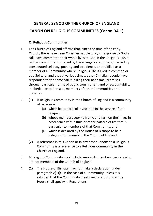# **GENERAL SYNOD OF THE CHURCH OF ENGLAND CANON ON RELIGIOUS COMMUNITIES (Canon DA 1)**

# **Of Religious Communities**

- 1. The Church of England affirms that, since the time of the early Church, there have been Christian people who, in response to God's call, have committed their whole lives to God in the Religious Life, a radical commitment, shaped by the evangelical counsels, marked by consecrated celibacy, poverty and obedience, and fulfilled as a member of a Community where Religious Life is lived in common or as a Solitary; and that at various times, other Christian people have responded to the same call, fulfilling their baptismal promises through particular forms of public commitment and of accountability in obedience to Christ as members of other Communities and Societies.
- 2. (1) A Religious Community in the Church of England is a community of persons –
	- (a) which has a particular vocation in the service of the Gospel.
	- (b) whose members seek to frame and fashion their lives in accordance with a Rule or other pattern of life that is particular to members of that Community, and
	- (c) which is declared by the House of Bishops to be a Religious Community in the Church of England.
	- (2) A reference in this Canon or in any other Canons to a Religious Community is a reference to a Religious Community in the Church of England.
- 3. A Religious Community may include among its members persons who are not members of the Church of England.
- 4. (1) The House of Bishops may not make a declaration under paragraph 2(1)(c) in the case of a Community unless it is satisfied that the Community meets such conditions as the House shall specify in Regulations.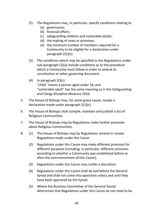- (2) The Regulations may, in particular, specify conditions relating to
	- (a) governance;
	- (b) financial affairs;
	- (c) safeguarding children and vulnerable adults;
	- (d) the making of vows or promises;
	- (e) the minimum number of members required for a Community to be eligible for a declaration under paragraph 2(1)(c).
- (3) The conditions which may be specified in the Regulations under sub-paragraph (2)(a) include conditions as to the procedure which a Community must follow in order to amend its constitution or other governing document.
- $(4)$  In paragraph  $(2)(c)$ : "child" means a person aged under 18, and "vulnerable adult" has the same meaning as in the Safeguarding and Clergy Discipline Measure 2016.
- 5. The House of Bishops may, for some grave cause, revoke a declaration made under paragraph 2(1)(c).
- 6. The House of Bishops shall compile, maintain and publish a list of Religious Communities.
- 7. The House of Bishops may by Regulations make further provision about Religious Communities.
- 8. (1) The House of Bishops may by Regulations amend or revoke Regulations made under this Canon
	- (2) Regulations under this Canon may make different provision for different purposes (including, in particular, different provision according to whether a Community was established before or after the commencement of this Canon).
	- (3) Regulations under this Canon may confer a discretion.
	- (4) Regulations under this Canon shall be laid before the General Synod and shall not come into operation unless and until they have been approved by the Synod.
	- (5) Where the Business Committee of the General Synod determines that Regulations under this Canon do not need to be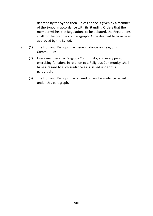debated by the Synod then, unless notice is given by a member of the Synod in accordance with its Standing Orders that the member wishes the Regulations to be debated, the Regulations shall for the purposes of paragraph (4) be deemed to have been approved by the Synod.

- 9. (1) The House of Bishops may issue guidance on Religious **Communities** 
	- (2) Every member of a Religious Community, and every person exercising functions in relation to a Religious Community, shall have a regard to such guidance as is issued under this paragraph.
	- (3) The House of Bishops may amend or revoke guidance issued under this paragraph.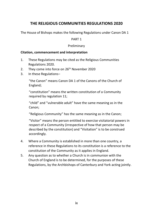# **THE RELIGIOUS COMMUNITIES REGULATIONS 2020**

The House of Bishops makes the following Regulations under Canon DA 1

#### PART 1

#### Preliminary

#### **Citation, commencement and interpretation**

- 1. These Regulations may be cited as the Religious Communities Regulations 2020.
- 2. They come into force on 26<sup>th</sup> November 2020
- 3. In these Regulations–

"the Canon" means Canon DA 1 of the Canons of the Church of England;

"constitution" means the written constitution of a Community required by regulation 11:

"child" and "vulnerable adult" have the same meaning as in the Canon;

"Religious Community" has the same meaning as in the Canon;

"Visitor" means the person entitled to exercise visitatorial powers in respect of a Community (irrespective of how that person may be described by the constitution) and "Visitation" is to be construed accordingly.

- 4. Where a Community is established in more than one country, a reference in these Regulations to its constitution is a reference to the constitution of the Community as it applies in England.
- 5. Any question as to whether a Church is in communion with the Church of England is to be determined, for the purposes of these Regulations, by the Archbishops of Canterbury and York acting jointly.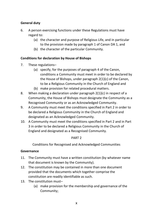# **General duty**

- 6. A person exercising functions under these Regulations must have regard to:
	- (a) the character and purpose of Religious Life, and in particular to the provision made by paragraph 1 of Canon DA 1, and
	- (b) the character of the particular Community.

#### **Conditions for declaration by House of Bishops**

- 7. These regulations–
	- (a) specify, for the purposes of paragraph 4 of the Canon, conditions a Community must meet in order to be declared by the House of Bishops, under paragraph 2(1)(c) of the Canon, to be a Religious Community in the Church of England and
	- (b) make provision for related procedural matters.
- 8. When making a declaration under paragraph 2(1)(c) in respect of a Community, the House of Bishops must designate the Community as a Recognised Community or as an Acknowledged Community.
- 9. A Community must meet the conditions specified in Part 2 in order to be declared a Religious Community in the Church of England and designated as an Acknowledged Community.
- 10. A Community must meet the conditions specified in Part 2 and in Part 3 in order to be declared a Religious Community in the Church of England and designated as a Recognised Community.

#### PART 2

Conditions for Recognised and Acknowledged Communities

#### **Governance**

- 11. The Community must have a written constitution (by whatever name that document is known by the Community).
- 12. The constitution may be contained in more than one document provided that the documents which together comprise the constitution are readily identifiable as such.
- 13. The constitution must–
	- (a) make provision for the membership and governance of the Community;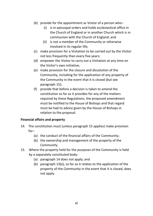- (b) provide for the appointment as Visitor of a person who–
	- (i) is in episcopal orders and holds ecclesiastical office in the Church of England or in another Church which is in communion with the Church of England; and
	- (ii) is not a member of the Community or otherwise involved in its regular life;
- (c) make provision for a Visitation to be carried out by the Visitor not less frequently than every five years;
- (d) empower the Visitor to carry out a Visitation at any time on the Visitor's own initiative;
- (e) make provision for the closure and dissolution of the Community, including for the application of any property of the Community in the event that it is closed (but see paragraph 15);
- (f) provide that before a decision is taken to amend the constitution so far as it provides for any of the matters required by these Regulations, the proposed amendment must be notified to the House of Bishops and that regard must be had to advice given by the House of Bishops in relation to the proposal.

#### **Financial affairs and property**

- 14. The constitution must (unless paragraph 15 applies) make provision for–
	- (a) the conduct of the financial affairs of the Community;
	- (b) the ownership and management of the property of the Community.
- 15. Where the property held for the purposes of the Community is held by a separately constituted body-
	- (a) paragraph 14 does not apply; and
	- (b) paragraph 13(e), so far as it relates to the application of the property of the Community in the event that it is closed, does not apply.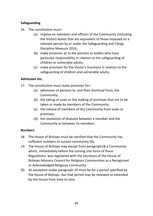# **Safeguarding**

- 16 The constitution must-
	- (a) impose on members and officers of the Community (including the Visitor) duties that are equivalent to those imposed on a relevant person by or under the Safeguarding and Clergy Discipline Measure 2016;
	- (b) make provision as to the persons or bodies who have particular responsibility in relation to the safeguarding of children or vulnerable adults;
	- (c) make provision for the Visitor's functions in relation to the safeguarding of children and vulnerable adults;

#### **Admission etc.**

- 17. The constitution must make provision for–
	- (a) admission of persons to, and their dismissal from, the Community;
	- (b) the taking of vows or the making of promises that are to be taken or made by members of the Community;
	- (c) the release of members of the Community from vows or promises;
	- (d) the resolution of disputes between a member and the Community or between its members.

#### **Numbers**

- 18. The House of Bishops must be satisfied that the Community has sufficient numbers to sustain community life.
- 19. The House of Bishops may except from paragraph18 a Community which, immediately before the coming into force of these Regulations, was registered with the Secretary of the House of Bishops Advisory Council for Religious Communities as a Recognised or Acknowledged Religious Community.
- 20. An exception under paragraph 19 must be for a period specified by the House of Bishops: but that period may be renewed or extended by the House from time to time.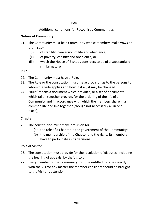#### PART 3

# Additional conditions for Recognised Communities

# **Nature of Community**

- 21. The Community must be a Community whose members make vows or promises–
	- (i) of stability, conversion of life and obedience,
	- (ii) of poverty, chastity and obedience; or
	- (iii) which the House of Bishops considers to be of a substantially similar nature.

#### **Rule**

- 22. The Community must have a Rule.
- 23. The Rule or the constitution must make provision as to the persons to whom the Rule applies and how, if it all, it may be changed.
- 24. "Rule" means a document which provides, or a set of documents which taken together provide, for the ordering of the life of a Community and in accordance with which the members share in a common life and live together (though not necessarily all in one place);

#### **Chapter**

- 25. The constitution must make provision for–
	- (a) the role of a Chapter in the government of the Community;
	- (b) the membership of the Chapter and the rights its members have to participate in its decisions.

#### **Role of Visitor**

- 26. The constitution must provide for the resolution of disputes (including the hearing of appeals) by the Visitor.
- 27. Every member of the Community must be entitled to raise directly with the Visitor any matter the member considers should be brought to the Visitor's attention.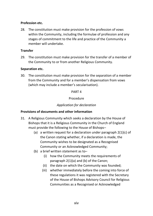#### **Profession etc.**

28. The constitution must make provision for the profession of vows within the Community, including the formulae of profession and any stages of commitment to the life and practice of the Community a member will undertake.

#### **Transfer**

29. The constitution must make provision for the transfer of a member of the Community to or from another Religious Community.

#### **Separation etc.**

30. The constitution must make provision for the separation of a member from the Community and for a member's dispensation from vows (which may include a member's secularisation).

#### PART 4

#### Procedure

#### *Application for declaration*

#### **Provisions of documents and other information**

- 31. A Religious Community which seeks a declaration by the House of Bishops that it is a Religious Community in the Church of England must provide the following to the House of Bishops–
	- (a) a written request for a declaration under paragraph 2(1)(c) of the Canon stating whether, if a declaration is made, the Community wishes to be designated as a Recognised Community or an Acknowledged Community;
	- (b) a brief written statement as to–
		- (i) how the Community meets the requirements of paragraph 2(1)(a) and (b) of the Canon;
		- (ii) the date on which the Community was founded;
		- (iii) whether immediately before the coming into force of these regulations it was registered with the Secretary of the House of Bishops Advisory Council for Religious Communities as a Recognised or Acknowledged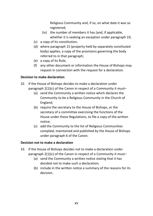Religious Community and, if so, on what date it was so registered;

- (iv) the number of members it has (and, if applicable, whether it is seeking an exception under paragraph 19;
- (c) a copy of its constitution;
- (d) where paragraph 15 (property held by separately constituted body) applies, a copy of the provisions governing the body referred to in that paragraph;
- (e) a copy of its Rule;
- (f) any other document or information the House of Bishops may request in connection with the request for a declaration.

#### **Decision to make declaration**

- 32. If the House of Bishops decides to make a declaration under paragraph 2(1)(c) of the Canon in respect of a Community it must–
	- (a) send the Community a written notice which declares the Community to be a Religious Community in the Church of England;
	- (b) require the secretary to the House of Bishops, or the secretary of a committee exercising the functions of the House under these Regulations, to file a copy of the written notice;
	- (c) add the Community to the list of Religious Communities compiled, maintained and published by the House of Bishops under paragraph 6 of the Canon.

#### **Decision not to make a declaration**

- 33. If the House of Bishops decides not to make a declaration under paragraph 2(1)(c) of the Canon in respect of a Community it must–
	- (a) send the Community a written notice stating that it has decided not to make such a declaration;
	- (b) include in the written notice a summary of the reasons for its decision.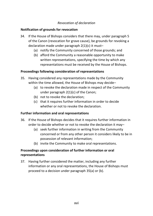#### *Revocation of declaration*

#### **Notification of grounds for revocation**

- 34. If the House of Bishops considers that there may, under paragraph 5 of the Canon (revocation for grave cause), be grounds for revoking a declaration made under paragraph 2(1)(c) it must–
	- (a) notify the Community concerned of those grounds; and
	- (b) afford the Community a reasonable opportunity to make written representations, specifying the time by which any representations must be received by the House of Bishops.

#### **Proceedings following consideration of representations**

- 35. Having considered any representations made by the Community within the time allowed, the House of Bishops may decide–
	- (a) to revoke the declaration made in respect of the Community under paragraph 2(1)(c) of the Canon;
	- (b) not to revoke the declaration;
	- (c) that it requires further information in order to decide whether or not to revoke the declaration.

#### **Further information and oral representations**

- 36. If the House of Bishops decides that it requires further information in order to decide whether or not to revoke the declaration it may–
	- (a) seek further information in writing from the Community concerned or from any other person it considers likely to be in possession of relevant information;
	- (b) invite the Community to make oral representations.

# **Proceedings upon consideration of further information or oral representations**

37. Having further considered the matter, including any further information or any oral representations, the House of Bishops must proceed to a decision under paragraph 35(a) or (b).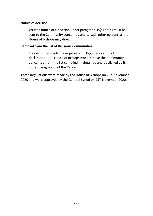#### **Notice of decision**

38. Written notice of a decision under paragraph 35(a) or (b) must be sent to the Community concerned and to such other persons as the House of Bishops may direct.

#### **Removal from the list of Religious Communities**

39. If a decision is made under paragraph 35(a) (revocation of declaration), the House of Bishops must remove the Community concerned from the list compiled, maintained and published by it under paragraph 6 of the Canon.

These Regulations were made by the House of Bishops on 23<sup>rd</sup> November 2020 and were approved by the General Synod on 25<sup>th</sup> November 2020.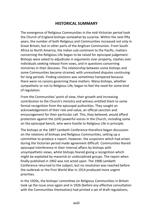# **HISTORICAL SUMMARY**

The emergence of Religious Communities in the mid-Victorian period took the Church of England bishops somewhat by surprise. Within the next fifty years, the number of both Religious and Communities increased not only in Great Britain, but in other parts of the Anglican Communion. From South Africa to North America, the Indian sub-continent to the Pacific, matters concerning the Religious Life began to be raised for episcopal judgement. Bishops were asked to adjudicate in arguments over property, clashes over individuals seeking release from vows, and in questions concerning ministries in their dioceses. The relationship between some bishops and some Communities became strained, with unresolved disputes continuing for long periods. Finding solutions was sometimes hampered because there were no canons governing these matters. Many bishops, whether sympathetic or not to Religious Life, began to feel the need for some kind of regulation.

From the Communities' point of view, their growth and increasing contribution to the Church's ministry and witness entitled them to some formal recognition from the episcopal authorities. They sought an acknowledgement of their role and value, an official sanction and encouragement for their particular call. This, they believed, would afford protection against the (still) powerful voices in the Church, including some on the episcopal bench, who were hostile to Religious Life in principle.

The bishops at the 1897 Lambeth Conference therefore began discussion on the relations of bishops and Religious Communities, setting up a committee to produce a report. However, the suspicions which had arisen during the Victorian period made agreement difficult. Communities feared episcopal interference in their internal affairs by bishops with unsympathetic views, whilst bishops feared giving a recognition which might be exploited by maverick or undisciplined groups. The report when finally published in 1902 was not acted upon. The 1908 Lambeth Conference returned to the subject, but no resolution was reached before the outbreak or the First World War in 1914 produced more urgent priorities.

In the 1920s, the bishops' committee on Religious Communities in Britain took up the issue once again and in 1926 (before any effective consultation with the Communities themselves) had printed a set of draft regulations,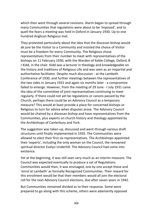which then went through several revisions. Alarm began to spread through many Communities that regulations were about to be 'imposed', and to quell the fears a meeting was held in Oxford in January 1930. Up to one hundred Anglican Religious met.

They protested particularly about the idea that the diocesan bishop would *de jure* be the Visitor to a Community and insisted the choice of Visitor must be a freedom for every Community. The Religious chose representatives from their number to meet with representatives of the bishops on 11 February 1930, with the Warden of Keble College, Oxford, B J Kidd, in the chair. Kidd was a lecturer in theology and knowledgeable on the history and traditions of Religious Life and was seen as an impartial and authoritative facilitator. Despite much discussion - at the Lambeth Conference of 1930, and further meetings between the representatives of the two sides in January 1931 and again six months later - a compromise failed to emerge. However, from the meeting of 29 June - l July 1931 came the idea of the committee of joint representatives continuing to meet regularly. If there could not yet be regulations or canons passed by the Church, perhaps there could be an Advisory Council as a temporary measure? This would at least provide a place for concerned bishops or Religious to turn for advice when disputes arose. The Advisory Council would be chaired by a diocesan bishop and have representatives from the Communities, plus experts on church history and theology appointed by the Archbishops of Canterbury and York.

The suggestion was taken up, discussed and went through various draft structures until finally implemented in 1935. The Communities were allowed to elect their first six representatives. The Archbishops appointed their 'experts', including the only woman on the Council, the renowned spiritual director Evelyn Underhill. The Advisory Council had come into existence.

Yet at the beginning, it was still seen very much as an interim measure. The Council was expected eventually to produce a set of Regulations. Communities would then, it was envisaged, one by one accept these and 'enrol at Lambeth' as formally Recognised Communities. Their reward for this enrolment would be that their members would all join the electoral roll for the next Advisory Council elections, due after seven years in 1942.

But Communities remained divided as to their response. Some were prepared to go along with this scheme, others were adamantly opposed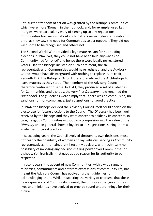until further freedom of action was granted by the bishops. Communities which were more 'Roman' in their outlook, and, for example, used Latin liturgies, were particularly wary of signing up to any regulations. Communities less anxious about such matters nevertheless felt unable to enrol as they saw the need for Communities to act together. They did not wish some to be recognised and others not.

The Second World War provided a legitimate reason for not holding elections in 1942; yet, they could not have been held anyway as no Community had 'enrolled' and hence there were legally no registered voters. Had the bishops insisted on such enrolment, the six representatives of Communities would have resigned, and the Advisory Council would have disintegrated with nothing to replace it. Its chair, Kenneth Kirk, the Bishop of Oxford, therefore advised the Archbishops to leave matters as they stood. The members of the Advisory Council therefore continued to serve. In 1943, they produced a set of guidelines for Communities and bishops, the very first *Directory* (now renamed the *Handbook).* The guidelines were simply that - there was no compulsion, no sanctions for non-compliance, just suggestions for good practice.

In 1944, the bishops decided the Advisory Council itself could decide on the electorate for future elections to the Council. The *Directory* had been well received by the bishops and they were content to abide by its contents. In turn, Religious Communities without any compulsion saw the value of the *Directory* and in general showed loyalty to its suggestions, seeing them as guidelines for good practice.

In succeeding years, the Council evolved through its own decisions, most noticeably the possibility of women and lay Religious serving as Community representatives. It remained until recently advisory, with technically no possibility of imposing any decision-making power over Communities or bishops. Yet, ironically, that gave added reason for its authority to be respected.

In recent years, the advent of new Communities, with a wide range of ministries, commitments and different expressions of community life, has meant the Advisory Council has evolved further guidelines for acknowledging them. Whilst respecting the variety of charisms that these new expressions of Community present, the principles that govern their lives and ministries have evolved to provide sound underpinnings for their future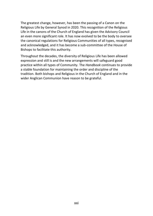The greatest change, however, has been the passing of a Canon on the Religious Life by General Synod in 2020. This recognition of the Religious Life in the canons of the Church of England has given the Advisory Council an even more significant role. It has now evolved to be the body to oversee the canonical regulations for Religious Communities of all types, recognised and acknowledged, and it has become a sub-committee of the House of Bishops to facilitate this authority.

Throughout the decades, the diversity of Religious Life has been allowed expression and still is and the new arrangements will safeguard good practice within all types of Community. The *Handbook* continues to provide a stable foundation for maintaining the order and discipline of the tradition. Both bishops and Religious in the Church of England and in the wider Anglican Communion have reason to be grateful.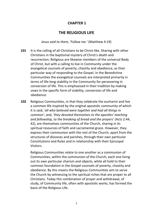# **CHAPTER 1**

# **THE RELIGIOUS LIFE**

*Jesus said to them, 'Follow me.'* (Matthew 4:19)

- **101** It is the calling of all Christians to be Christ-like. Sharing with other Christians in the baptismal mystery of Christ's death and resurrection, Religious are likewise members of the universal Body of Christ, but with a calling to live in Community under the evangelical counsels of poverty, chastity and obedience, as their particular way of responding to the Gospel. In the Benedictine Communities the evangelical counsels are interpreted primarily in terms of life-long stability in the Community for persevering in conversion of life. This is emphasised in their tradition by making vows in the specific form of stability, conversion of life and obedience.
- **102** Religious Communities, in that they celebrate the eucharist and live a common life inspired by the original apostolic community of which it is said, *'all who believed were together and had all things in common'*, and, *'they devoted themselves to the apostles' teaching and fellowship, to the breaking of bread and the prayers'* (Acts 2:44, 42), are themselves communities of the Church, sharing in its spiritual resources of faith and sacramental grace. However, they express their communion with the rest of the Church, apart from the structures of dioceses and parishes, through their own particular Constitutions and Rules and in relationship with their Episcopal Visitors.

Religious Communities relate to one another as a communion of Communities, within the communion of the Church, each one living out its own particular charism and objects, while all hold to their common foundation in the Gospel counsels of poverty, chastity and obedience. By this means the Religious Communities aim to serve the Church by witnessing to the spiritual riches that are proper to all Christians. Today this combination of prayer and withdrawal, of study, of Community life, often with apostolic works, has formed the basis of the Religious Life.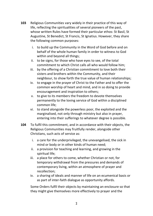- **103** Religious Communities vary widely in their practice of this way of life, reflecting the spiritualities of several pioneers of the past, whose written Rules have formed their particular ethos: St Basil, St Augustine, St Benedict, St Francis, St Ignatius. However, they share the following common purposes:
	- i. to build up the Community in the Word of God before and on behalf of the whole human family in order to witness to God within and beyond all things;
	- ii. to be signs, for those who have eyes to see, of the total commitment to which Christ calls all who would follow him;
	- iii. by the offering of a Christian commitment to love both their sisters and brothers within the Community, and their neighbour, to show forth the true value of human relationships;
	- iv. to engage in the prayer of Christ to the Father and to offer the common worship of heart and mind, and in so doing to provide encouragement and inspiration to others;
	- v. to give to its members the freedom to devote themselves permanently to the loving service of God within a disciplined common life;
	- vi. to stand alongside the powerless poor, the exploited and the marginalised, not only through ministry but also in prayer, entering into their sufferings to whatever degree is possible.
- **104** To fulfil this commitment, and in accordance with their objects, the Religious Communities may fruitfully render, alongside other Christians, such acts of service as:
	- i. a care for the underprivileged, the unevangelised, the sick in mind or body or in other kinds of human need;
	- ii. a provision for teaching and learning, and growing in the spiritual life;
	- iii. a place for others to come, whether Christian or not, for temporary withdrawal from the pressures and demands of contemporary living, within an atmosphere of prayer and recollection;
	- iv. a sharing of ideals and manner of life on an ecumenical basis or as part of inter-faith dialogue as opportunity affords.

Some Orders fulfil their objects by maintaining an enclosure so that they might give themselves more effectively to prayer and the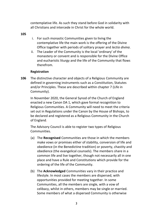contemplative life. As such they stand before God in solidarity with all Christians and intercede in Christ for the whole world.

**105**

- i. For such monastic Communities given to living the contemplative life the main work is the offering of the Divine Office together with periods of solitary prayer and *lectio divina*.
- ii. The Leader of the Community is the local 'ordinary' of the monastery or convent and is responsible for the Divine Office and eucharistic liturgy and the life of the Community that flows therefrom.

#### **Registration**

**106** The distinctive character and objects of a Religious Community are defined in governing instruments such as a Constitution, Statutes and/or Principles. These are described within chapter 7 (Life in Community).

In November 2020, the General Synod of the Church of England enacted a new Canon DA 1, which gave formal recognition to Religious Communities. A Community will need to meet the criteria set out in Regulations under the Canon by the House of Bishops, to be declared and registered as a Religious Community in the Church of England.

The Advisory Council is able to register two types of Religious **Communities** 

- (a) The **Recognised** Communities are those in which the members make vows or promises either of stability, conversion of life and obedience (in the Benedictine tradition) or poverty, chastity and obedience (the evangelical counsels). The members share in a common life and live together, though not necessarily all in one place and have a Rule and Constitutions which provide for the ordering of the life of the Community.
- (b) The **Acknowledged** Communities vary in their practice and lifestyle. In most cases the members are dispersed, with opportunities provided for meeting together. In some Communities, all the members are single, with a vow of celibacy, whilst in others, members may be single or married. Some members of what a dispersed Community is otherwise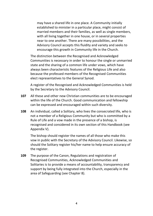may have a shared life in one place. A Community initially established to minister in a particular place, might consist of married members and their families, as well as single members, with all living together in one house, or in several properties near to one another. There are many possibilities, and the Advisory Council accepts this fluidity and variety and seeks to encourage this growth in Community life in the Church.

The distinction between the Recognised and Acknowledged Communities is necessary in order to honour the single or unmarried state and the sharing of a common life under vows, which have always been characteristic features of the Religious Life and also because the professed members of the Recognised Communities elect representatives to the General Synod.

A register of the Recognised and Acknowledged Communities is held by the Secretary to the Advisory Council.

- **107** All these and other new Christian communities are to be encouraged within the life of the Church. Good communication and fellowship can be expressed and encouraged within such diversity.
- **108** An individual, called a Solitary, who lives the consecrated life, who is not a member of a Religious Community but who is committed by a Rule of Life and a vow made in the presence of a bishop, is recognised and considered in its own section of this Handbook (see Appendix V).

The bishop should register the names of all those who make this vow in public with the Secretary of the Advisory Council. Likewise, so should the Solitary register his/her name to help ensure accuracy of the register.

**109** The purpose of the Canon, Regulations and registration of Recognised Communities, Acknowledged Communities and Solitaries is to provide a means of accountability, transparency and support by being fully integrated into the Church, especially in the area of Safeguarding (see Chapter 8).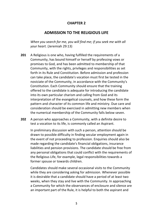# **CHAPTER 2**

# **ADMISSION TO THE RELIGIOUS LIFE**

*When you search for me, you will find me; if you seek me with all your heart.* (Jeremiah 29:13)

- **201** A Religious is one who, having fulfilled the requirements of a Community, has bound himself or herself by professing vows or promises to God, and has been admitted to membership of that Community, with the rights, privileges and responsibilities as set forth in its Rule and Constitution. Before admission and profession can take place, the candidate's vocation must first be tested in the noviciate of the Community, in accordance with the Community's Constitution. Each Community should ensure that the training offered to the candidate is adequate for introducing the candidate into its own particular charism and calling from God and its interpretation of the evangelical counsels, and how these form the pattern and character of its common life and ministry. Due care and consideration should be exercised in admitting new members when the numerical membership of the Community falls below seven.
- **202** A person who approaches a Community, with a definite desire to test a vocation to its life, is commonly called an Aspirant.

In preliminary discussion with such a person, attention should be drawn to possible difficulty in finding secular employment again in the event of not proceeding to profession. Enquiries should also be made regarding the candidate's financial obligations, insurance liabilities and pension provisions. The candidate should be free from any personal obligations that could conflict with the requirements of the Religious Life, for example, legal responsibilities towards a former spouse or towards children.

Candidates should make several occasional visits to the Community while they are considering asking for admission. Whenever possible it is desirable that a candidate should have a period of at least two weeks, when they stay and live with the Community. In approaching a Community for which the observances of enclosure and silence are an important part of the Rule, it is helpful to both the aspirant and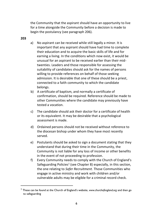the Community that the aspirant should have an opportunity to live for a time alongside the Community before a decision is made to begin the postulancy (see paragraph 206).

#### **203**

- a) No aspirant can be received while still legally a minor. It is important that any aspirant should have had time to complete their education and to acquire the basic skills of life and for earning a living. In the conditions which now exist, it would be unusual for an aspirant to be received earlier than their midtwenties. Leaders and those responsible for assessing the suitability of candidates should ask for the names of persons willing to provide references on behalf of those seeking admission. It is desirable that one of these should be a priest, connected to a faith community to which the candidate belongs.
- b) A certificate of baptism, and normally a certificate of confirmation, should be required. Reference should be made to other Communities where the candidate may previously have tested a vocation.
- c) The candidate should ask their doctor for a certificate of health or its equivalent. It may be desirable that a psychological assessment is made.
- d) Ordained persons should not be received without reference to the diocesan bishop under whom they have most recently served.
- e) Postulants should be asked to sign a document stating that they understand that during their time in the Community, the Community is not liable for any loss of income or other benefits in the event of not proceeding to profession.
- f) Every Community needs to comply with the Church of England's Safeguarding Policies<sup>1</sup> (see Chapter 8) especially, in this section, the one relating to *Safer Recruitment.* Those Communities who engage in active ministry and work with children and/or vulnerable adults may be eligible for a criminal record check.

<sup>1</sup> These can be found at the Church of England's website, *www.churchofengland.org* and then go to safeguarding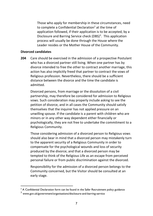Those who apply for membership in these circumstances, need to complete a Confidential Declaration<sup>2</sup> at the time of application followed, if their application is to be accepted, by a Disclosure and Barring Service check (DBS)<sup>3</sup>. This application process will usually be done through the House where the Leader resides or the Mother House of the Community.

#### **Divorced candidates**

**204** Care should be exercised in the admission of a prospective Postulant who has a divorced partner still living. When one partner has by divorce intended to free the other to contract another marriage, this action has also implicitly freed that partner to contract the vows of Religious profession. Nevertheless, there should be a sufficient distance between the divorce and the time the candidate is admitted.

Divorced persons, from marriage or the dissolution of a civil partnership, may therefore be considered for admission to Religious vows. Such consideration may properly include asking to see the petition of divorce, and in all cases the Community should satisfy themselves that the inquirer has not applied pressure on an unwilling spouse. If the candidate is a parent with children who are minors or in any other way dependent either financially or psychologically, they are not free to undertake the commitment to a Religious Community.

Those considering admission of a divorced person to Religious vows should also bear in mind that a divorced person may mistakenly turn to the apparent security of a Religious Community in order to compensate for the psychological wounds and loss of security produced by the divorce; and that a divorced person may be tempted to think of the Religious Life as an escape from perceived personal failure or from public discrimination against the divorced.

Responsibility for the admission of a divorced person belongs to the Community concerned, but the Visitor should be consulted at an early stage.

<sup>&</sup>lt;sup>2</sup> A Confidential Declaration form can be found in the Safer Recruitment policy guidance

<sup>3</sup> www.gov.uk/government/organisations/disclosure-and-barring-service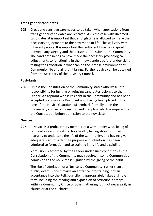#### **Trans-gender candidates**

**205** Great and sensitive care needs to be taken when applications from trans-gender candidates are received. As is the case with divorced candidates, it is important that enough time is allowed to make the necessary adjustments to the new mode of life. This will vary with different people. It is important that sufficient time has elapsed between any surgery and the person's admission to the Community. The candidate needs to have made the necessary psychological adjustments to functioning in their new gender, before undertaking testing their vocation in what can be the intense environment of Community life and all that it brings. Further advice can be obtained from the Secretary of the Advisory Council.

#### **Postulants**

**206** Unless the Constitution of the Community states otherwise, the responsibility for inviting or refusing candidates belongs to the Leader. An aspirant who is resident in the Community and has been accepted is known as a Postulant and, having been placed in the care of the Novice Guardian, will embark formally upon the preliminary course of formation and discipline which is required by the Constitution before admission to the noviciate.

#### **Novices**

**207** A Novice is a probationary member of a Community who, being of required age and in satisfactory health, having shown sufficient maturity to undertake the life of the Community, and having given adequate signs of a definite purpose and intention, has been admitted to formation and to training in its life and discipline.

Admission is accorded by the Leader under such conditions as the Constitution of the Community may require. In some Communities admission to the noviciate is signified by the giving of the habit.

The rite of admission of a Novice is a Community, rather than a public, event, since it marks an entrance into training, not an acceptance into the Religious Life. It appropriately takes a simple form including the reading and exposition of scripture, perhaps within a Community Office or other gathering, but not necessarily in church or at the eucharist.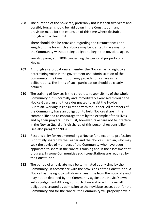**208** The duration of the noviciate, preferably not less than two years and possibly longer, should be laid down in the Constitution, and provision made for the extension of this time where desirable, though with a clear limit.

There should also be provision regarding the circumstances and length of time for which a Novice may be granted time away from the Community without being obliged to begin the noviciate again.

See also paragraph 1004 concerning the personal property of a Novice.

- **209** Although as a probationary member the Novice has no right to a determining voice in the government and administration of the Community, the Constitution may provide for a share in its deliberations. The limits of such participation should be clearly defined.
- **210** The training of Novices is the corporate responsibility of the whole Community but is normally and immediately exercised through the Novice Guardian and those designated to assist the Novice Guardian, working in consultation with the Leader. All members of the Community have an obligation to help Novices share in the common life and to encourage them by the example of their lives and by their prayers. They must, however, take care not to interfere in the Novice Guardian's discharge of this personal responsibility (see also paragraph 903).
- **211** Responsibility for recommending a Novice for election to profession is normally shared by the Leader and the Novice Guardian, who may seek the advice of members of the Community who have been appointed to share in the Novice's training and in the assessment of progress. In some Communities such consultations are required by the Constitution.
- **212** The period of a noviciate may be terminated at any time by the Community, in accordance with the provisions of the Constitution. A Novice has the right to withdraw at any time from the noviciate and may not be detained by the Community against the Novice's own will or judgement Although on such dismissal or withdrawal all obligations created by admission to the noviciate cease, both for the Community and for the Novice, the Community will properly have a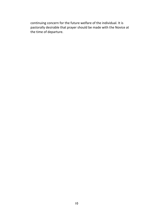continuing concern for the future welfare of the individual. It is pastorally desirable that prayer should be made with the Novice at the time of departure.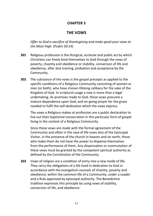# **CHAPTER 3**

# **THE VOWS**

*Offer to God a sacrifice of thanksgiving and make good your vows to the Most High.* (Psalm 50:14)

- **301** Religious profession is the liturgical, ecclesial and public act by which Christians can freely bind themselves to God through the vows of poverty, chastity and obedience or stability, conversion of life and obedience, after due training, probation and acceptance by the Community.
- **302** The substance of the vows is the gospel precepts as applied to the specific conditions of a Religious Community consisting of women or men (or both), who have chosen lifelong celibacy for the sake of the Kingdom of God. In scriptural usage a vow is more than a legal undertaking. As promises made to God, these vows presume a mature dependence upon God, and on-going prayer for the grace needed to fulfil the self-dedication which the vows express.

The vows a Religious makes at profession are a public declaration to live out their baptismal consecration in this particular form of gospel living in the context of a Religious Community.

Since these vows are made with the formal agreement of the Community and often in the case of life vows also of the Episcopal Visitor, in the presence of the church in heaven and on earth, those who make them do not have the power to dispense themselves from the performance of them. Any dispensation or commutation of these vows must be granted by the competent spiritual authority as defined by the Constitution of the Community.

**303** Vows of religion are a condition of entry into a new mode of life. They carry the obligations of a life lived in dedication to God in accordance with the evangelical counsels of chastity, poverty and obedience, within the common life of a Community, under a Leader and a Rule approved by episcopal authority. The Benedictine tradition expresses this principle by using vows of stability, conversion of life, and obedience.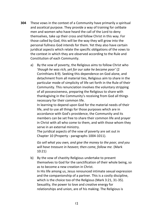- **304** These vows in the context of a Community have primarily a spiritual and ascetical purpose. They provide a way of training for celibate men and women who have heard the call of the Lord to deny themselves, take up their cross and follow Christ in this way. For those called by God, this will be the way they will grow into the personal fullness God intends for them. Yet they also have certain juridical aspects which relate the specific obligations of the vows to the context in which they are observed according to the Rule and Constitution of each Community.
	- a) By the vow of poverty, the Religious aims to follow Christ who *'though he was rich, yet for our sake he became poor'* (2 Corinthians 8:9). Seeking this dependence on God alone, and detachment from all material ties, Religious aim to share in the particular mode of simplicity of life set forth in the Rule of their Community. This renunciation involves the voluntary stripping of all possessiveness, preparing the Religious to share with thanksgiving in the Community's receiving from God all things necessary for their common life.

In learning to depend upon God for the material needs of their life, and to use all things for those purposes which are in accordance with God's providence, the Community and its members can be set free to share their common life and prayer in Christ with all who come to them, and with those whom they serve in an external ministry.

The juridical aspects of the vow of poverty are set out in Chapter 10 (Property - paragraphs 1004-1011).

*Go sell what you own, and give the money to the poor, and you will have treasure in heaven; then come, follow me.* (Mark 10:21)

b) By the vow of chastity Religious undertake to present themselves to God for the sanctification of their whole being, so as to become a new creation in Christ. In His life among us, Jesus renounced intimate sexual expression and the companionship of a partner. This is a costly discipline, which is the choice too of the Religious (Mark 3:21, 31-35). Sexuality, the power to love and creative energy for relationships and union, are of his making. The Religious is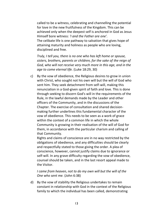called to be a witness, celebrating and channelling the potential for love in the new fruitfulness of the Kingdom. This can be achieved only when the deepest self is anchored in God as Jesus Himself bore witness: *'I and the Father are one'.* The celibate life is one pathway to salvation that gives hope of attaining maturity and holiness as people who are loving, disciplined and free.

*Truly, I tell you, there is no one who has left home or spouse, sisters, brothers, parents or children, for the sake of the reign of God, who will not receive very much more in this age, and in the age to come eternal life.* (Luke 18:29, 30)

c) By the vow of obedience, the Religious desires to grow in union with Christ, who sought not his own will but the will of God who sent him. They seek detachment from self-will, making this renunciation in a God-given spirit of faith and love. This is done through seeking to discern God's will in the requirements of the Rule, in the lawful demands made by the Leader and other officers of the Community, and in the discussions of the Chapter. The exercise of consultation and shared decisionmaking further underlines this fundamental character of the vow of obedience. This needs to be seen as a work of grace within the context of a common life in which the whole Community is growing in their realisation of the will of God for them, in accordance with the particular charism and calling of that Community.

Rights and claims of conscience are in no way restricted by the obligations of obedience, and any difficulties should be clearly and respectfully stated to those giving the order. A plea of conscience, however, cannot justify claims due to ignorance or self-will. In any grave difficulty regarding the vow of obedience, counsel should be taken, and in the last resort appeal made to the Visitor.

### *I came from heaven, not to do my own will but the will of the One who sent me.* (John 6:38)

d) By the vow of stability the Religious undertakes to remain constant in relationship with God in the context of the Religious family to which the individual has been called, demonstrating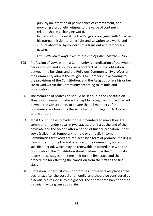publicly an intention of permanence of commitment, and providing a prophetic witness to the value of continuing relationship in a changing world. In making this undertaking the Religious is aligned with Christ in his eternal mission to bring light and salvation to a world and culture absorbed by concerns of a transient and temporary nature.

*I am with you always, even to the end of time.* (Matthew 28:20)

- **305** Profession of vows within a Community is a dedication of the whole person to God and also involves a contract of mutual obligation between the Religious and the Religious Community. By profession the Community admits the Religious to membership according to the provisions of the Constitution, and the Religious offers his or her life to God within the Community according to its Rule and Constitution.
- **306** The formulae of profession should be set out in the Constitution. They should remain unaltered, except by recognised procedure laid down in the Constitution, to ensure that all members of the Community are bound by the same terms of obligation to God and to one another.
- **307** Most Communities provide for their members to make their life commitment under vows in two stages, the first at the end of the noviciate and the second after a period of further probation under vows (called first, temporary, simple or annual). In some Communities first vows are replaced by a form of promise, making a commitment to the life and practice of the Community for a specified period, which may be renewable in accordance with the Constitution. The Constitution should define how the Community relates these stages, the time limit for the first stage and the procedures for effecting the transition from the first to the final stage.
- **308** Profession under first vows or promises normally takes place at the eucharist, after the gospel and homily, and should be considered as essentially a response to the gospel. The appropriate habit or other insignia may be given at this rite.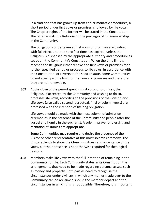In a tradition that has grown up from earlier monastic procedures, a short period under first vows or promises is followed by life vows. The Chapter rights of the former will be stated in the Constitution. The latter admits the Religious to the privileges of full membership in the Community.

The obligations undertaken at first vows or promises are binding with full effect until the specified time has expired, unless the Religious is dispensed by the appropriate authority and procedure as set out in the Community's Constitution. When the time limit is reached the Religious either renews the first vows or promises for a further specified period or proceeds to life vows, in accordance with the Constitution: or reverts to the secular state. Some Communities do not specify a time limit for first vows or promises and therefore they are not renewable.

**309** At the close of the period spent in first vows or promises, the Religious, if accepted by the Community and wishing to do so, professes life vows, according to the provisions of the Constitution. Life vows (also called second, perpetual, final or solemn vows) are professed with the intention of lifelong obligation.

Life vows should be made with the most solemn of admission ceremonies in the presence of the Community and people after the gospel and homily in the eucharist. A solemn prayer of blessing and recitation of litanies are appropriate.

Some Communities may require and desire the presence of the Visitor or other representative at this most solemn ceremony. The Visitor attends to show the Church's witness and acceptance of the vows, but their presence is not otherwise required for theological reasons.

**310** Members make life vows with the full intention of remaining in the Community for life. Each Community states in its Constitution the arrangements that need to be made regarding personal assets such as money and property. Both parties need to recognise the circumstances under civil law in which any monies made over to the Community can be reclaimed should the member depart and the circumstances in which this is not possible. Therefore, it is important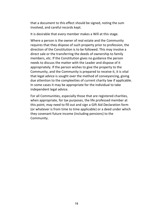that a document to this effect should be signed, noting the sum involved, and careful records kept.

It is desirable that every member makes a Will at this stage.

Where a person is the owner of real estate and the Community requires that they dispose of such property prior to profession, the direction of the Constitution is to be followed. This may involve a direct sale or the transferring the deeds of ownership to family members, etc. If the Constitution gives no guidance the person needs to discuss the matter with the Leader and dispose of it appropriately. If the person wishes to give the property to the Community, and the Community is prepared to receive it, it is vital that legal advice is sought over the method of conveyancing, giving due attention to the complexities of current charity law if applicable. In some cases it may be appropriate for the individual to take independent legal advice.

For all Communities, especially those that are registered charities, when appropriate, for tax purposes, the life professed member at this point, may need to fill out and sign a Gift Aid Declaration form (or whatever is from time to time applicable) or a deed under which they covenant future income (including pensions) to the Community.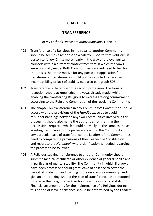### **CHAPTER 4**

# **TRANSFERENCE**

*In my Father's House are many mansions.* (John 14:2)

- **401** Transference of a Religious in life vows to another Community should be seen as a response to a call from God to that Religious in person to follow Christ more nearly in the way of the evangelical counsels within a different context from that in which the vows were originally made. Both Communities involved need to be clear that this is the prime motive for any particular application for transference. Transference should not be resorted to because of incompatibility or lack of stability (see also paragraph 506(e)).
- **402** Transference is therefore not a second profession. The form of reception should acknowledge the vows already made, while enabling the transferring Religious to express lifelong commitment according to the Rule and Constitution of the receiving Community.
- **403** The chapter on transference in any Community's Constitution should accord with the provisions of the *Handbook*, so as to avoid misunderstandings between any two Communities involved in this process. It should also name the authorities for granting the permissions required, which should normally be the same as those granting permission for life professions within the Community. In any particular case of transference, the Leaders of the Communities need to compare the provisions of their respective Constitutions, and resort to the *Handbook* where clarification is needed regarding the process to be followed.
- **404** A Religious seeking transference to another Community should submit a medical certificate or other evidence of general health and in particular of mental stability. The Community in which life vows have been professed should grant leave of absence to cover the period of probation and training in the receiving Community, and give an undertaking, should the plan of transference be abandoned, to receive the Religious back without prejudice or loss of status. Financial arrangements for the maintenance of a Religious during this period of leave of absence should be determined by the Leaders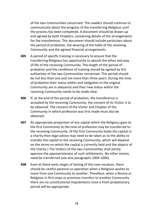of the two Communities concerned. The Leaders should continue to communicate about the progress of the transferring Religious until the process has been completed. A document should be drawn up and agreed by both Chapters, containing details of the arrangements for the transference. This document should include particulars about the period of probation, the wearing of the habit of the receiving Community and the agreed financial arrangements.

- **405** A period of specific training is necessary to ensure that the transferring Religious has opportunity to absorb the ethos and way of life of the receiving Community. The length of the period of probation and the conditions of training should be agreed by the authorities of the two Communities concerned. This period should be not less than one and not more than three years. During the time of probation their status within and obligation to the original Community are in abeyance and their new status within the receiving Community needs to be made clear.
- **406** If, at the end of the period of probation, the transference is accepted by the receiving Community, the consent of its Visitor is to be obtained. The consent of the Visitor and Chapter of the Community in which profession was first made must also be obtained.
- **407** An appropriate proportion of any capital which the Religious gave to the first Community at the time of profession may be transferred to the receiving Community. (If the first Community holds the capital in a charity then legal advice may need to be taken as to the ability to transfer the capital to the receiving Community, which will depend on the terms on which the capital is currently held and the objects of the charity.) The Visitors of the two Communities shall jointly approve the appropriateness of such settlements. No other money need be transferred (see also paragraphs 1004-1006).
- **408** Even at these early stages of testing of this new vocation, there should be careful pastoral co-operation when a Religious wishes to move from one Community to another. Therefore, when a Novice or Religious in first vows or promises transfers to another Community there are no constitutional impediments since a fresh probationary period will be appropriate.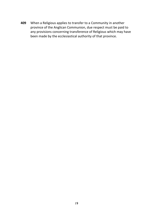**409** When a Religious applies to transfer to a Community in another province of the Anglican Communion, due respect must be paid to any provisions concerning transference of Religious which may have been made by the ecclesiastical authority of that province.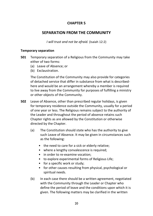## **CHAPTER 5**

# **SEPARATION FROM THE COMMUNITY**

*I will trust and not be afraid.* (Isaiah 12:2)

#### **Temporary separation**

- **501** Temporary separation of a Religious from the Community may take either of two forms:
	- (a) Leave of Absence; or
	- (b) Exclaustration.

The Constitution of the Community may also provide for categories of detached service that differ in substance from what is describedhere and would be an arrangement whereby a member is required to live away from the Community for purposes of fulfilling a ministry or other objects of the Community.

- **502** Leave of Absence, other than prescribed regular holidays, is given for temporary residence outside the Community, usually for a period of one year or less. The Religious remains subject to the authority of the Leader and throughout the period of absence retains such Chapter rights as are allowed by the Constitution or otherwise directed by the Chapter.
	- (a) The Constitution should state who has the authority to give such Leave of Absence. It may be given in circumstances such as the following:
		- the need to care for a sick or elderly relative;
		- where a lengthy convalescence is required;
		- in order to re-examine vocation;
		- to explore experimental forms of Religious Life;
		- for a specific work or study;
		- for other causes resulting from physical, psychological or spiritual needs.
	- (b) In each case there should be a written agreement, negotiated with the Community through the Leader or Chapter who define the period of leave and the conditions upon which it is given. The following matters may be clarified in the written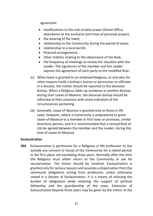agreement:

- modifications to the rule of daily prayer (Divine Office, attendance at the eucharist and times of personal prayer);
- the wearing of the habit;
- relationship to the Community during the period of leave;
- relationship to a local parish;
- financial arrangements;
- other matters relating to the observance of the Rule;
- the frequency of meetings to review the situation with the Leader. The signatures of the member and the Leader express the agreement of each party to the modified Rule.
- (c) When leave is granted to an ordained Religious, or one who for other reasons holds a bishop's licence or permission to officiate in a diocese, the matter should be reported to the diocesan bishop. When a Religious takes up residence in another diocese during their Leave of Absence, the diocesan bishop should be informed of their presence with some indication of the circumstances pertaining.
- (d) Generally, Leave of Absence is granted only to those in life vows. However, where a Community is empowered to grant Leave of Absence to a member in first vows or promises, similar directions pertain, and it is recommended that a revised Rule of Life be agreed between the member and the Leader, during the time of Leave of Absence.

### **Exclaustration**

**503** Exclaustration is permission for a Religious in life profession to live outside any convent or house of the Community for a stated period, in the first place not exceeding three years. Normally after this time the Religious must either return to the Community or ask for secularisation. The Visitor should be involved. Exclaustration is granted only for serious reasons and assumes a dispensation from the communal obligations arising from profession, unless otherwise stated in a Decree of Exclaustration. It is a means of relieving the burden of obligations while retaining the support of spiritual fellowship and the guardianship of the vows. Extension of Exclaustration beyond three years may be given by the Visitor at the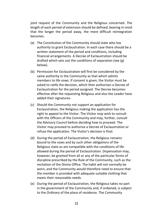joint request of the Community and the Religious concerned. The length of each period of extension should be defined, bearing in mind that the longer the period away, the more difficult reintegration becomes.

- (a) The Constitution of the Community should state who has authority to grant Exclaustration. In each case there should be a written statement of the period and conditions, including financial arrangements. A Decree of Exclaustration should be drafted which sets out the conditions of separation (see (g) below).
- (b) Permission for Exclaustration will first be considered by the same authority in the Community as that which admits members to life vows. If consent is given, the Visitor must be asked to ratify the decision, which then authorises a Decree of Exclaustration for the period assigned. The Decree becomes effective after the requesting Religious and also the Leader have added their signatures.
- (c) Should the Community not support an application for Exclaustration, the Religious making the application has the right to appeal to the Visitor. The Visitor may wish to consult with the Officers of the Community and may, further, consult the Advisory Council before deciding how to proceed. The Visitor may proceed to authorise a Decree of Exclaustration or refuse the application. The Visitor's decision is final.
- (d) During the period of Exclaustration, the Religious remains bound to the vows and by such other obligations of the Religious state as are compatible with the conditions of life allowed during the period of Exclaustration. Dispensation may, however, be granted from all or any of the particular forms of discipline prescribed by the Rule of the Community, such as the recitation of the Divine Office. The habit will not normally be worn, and the Community would therefore need to ensure that the member is provided with adequate suitable clothing that meets their reasonable needs.
- (e) During the period of Exclaustration, the Religious takes no part in the government of the Community and, if ordained, is subject to the Ordinary of the place of residence. The Community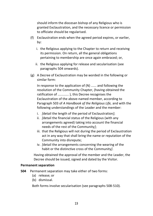should inform the diocesan bishop of any Religious who is granted Exclaustration, and the necessary licence or permission to officiate should be regularised.

- (f) Exclaustration ends when the agreed period expires, or earlier, by:
	- i. the Religious applying to the Chapter to return and receiving its permission. On return, all the general obligations pertaining to membership are once again embraced; or,
	- ii. the Religious applying for release and secularisation (see paragraphs 504 onwards).
- (g) A Decree of Exclaustration may be worded in the following or similar form:

In response to the application of (N) ...... and following the resolution of the Community Chapter, (having obtained the ratification of ............ ), this Decree recognises the Exclaustration of the above-named member, according to Paragraph 503 of *A Handbook of the Religious Life,* and with the following understandings of the Leader and the member:

- i. *[*detail the length of the period of Exclaustration*]*;
- ii. *[*detail the financial status of the Religious (with any arrangements agreed) taking into account the financial needs of the rest of the Community*]*;
- iii. that the Religious will not during the period of Exclaustration act in any way that shall bring the name or reputation of the Community into disrepute;
- iv. *[*detail the arrangements concerning the wearing of the habit or the distinctive cross of the Community*]*.

Having obtained the approval of the member and the Leader, the Decree should be issued, signed and dated by the Visitor.

### **Permanent separation**

- **504** Permanent separation may take either of two forms:
	- (a) release; or
	- (b) dismissal.

Both forms involve secularisation (see paragraphs 508-510).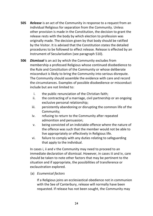- **505** *Release* is an act of the Community in response to a request from an individual Religious for separation from the Community. Unless other provision is made in the Constitution, the decision to grant the release rests with the body by which election to profession was originally made. The decision given by that body should be ratified by the Visitor. It is advised that the Constitution states the detailed procedures to be followed to effect release. Release is effected by an Instrument of Secularisation (see paragraph 510).
- **506** *Dismissal* is an act by which the Community excludes from membership a professed Religious whose continued disobedience to the Rule and Constitution of the Community or whose deliberate misconduct is likely to bring the Community into serious disrepute. The Community should assemble the evidence with care and record the circumstances. Examples of possible disobedience or misconduct include but are not limited to:
	- i. the public renunciation of the Christian faith;
	- ii. the contracting of a marriage, civil partnership or an ongoing exclusive personal relationship;
	- iii. persistently abandoning or disrupting the common life of the Community;
	- iv. refusing to return to the Community after repeated admonition and persuasion;
	- v. being convicted of an indictable offence where the nature of the offence was such that the member would not be able to live appropriately or effectively in Religious life.
	- vi. failure to comply with any duties relating to safeguarding that apply to the individual.

In cases i, ii and v the Community may need to proceed to an immediate declaration of dismissal. However, in cases iii and iv, care should be taken to note other factors that may be pertinent to the situation and if appropriate, the possibilities of transference or exclaustration explored.

(a) *Ecumenical factors*

If a Religious joins an ecclesiastical obedience not in communion with the See of Canterbury, release will normally have been requested. If release has not been sought, the Community may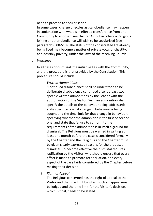need to proceed to secularisation.

In some cases, change of ecclesiastical obedience may happen in conjunction with what is in effect a transference from one Community to another (see chapter 4); but in others a Religious joining another obedience will wish to be secularised (see paragraphs 508-510). The status of the consecrated life already being lived may become a matter of private vows of chastity, and possibly poverty, under the laws of the receiving Church.

(b) *Warnings* 

In all cases of dismissal, the initiative lies with the Community, and the procedure is that provided by the Constitution. This procedure should include:

i. *Written Admonitions*

'Continued disobedience' shall be understood to be deliberate disobedience continued after at least two specific written admonitions by the Leader with the authorisation of the Visitor. Such an admonition shall specify the details of the behaviour being addressed; state specifically what change in behaviour is being sought and the time limit for that change in behaviour, specifying whether the admonition is the first or second one; and state that failure to conform to the requirements of the admonition is in itself a ground for dismissal. The Religious must be warned in writing at least one month before the case is considered formally by the Chapter and the Religious and the Chapter must be given clearly expressed reasons for the proposed dismissal. To become effective the dismissal requires ratification by the Visitor, who should ensure that every effort is made to promote reconciliation, and every aspect of the case fairly considered by the Chapter before making their decision.

ii. *Right of Appeal*

The Religious concerned has the right of appeal to the Visitor and the time limit by which such an appeal must be lodged and the time limit for the Visitor's decision, which is final, needs to be stated.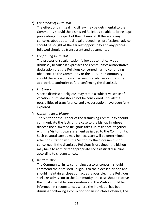### (c) *Conditions of Dismissal*

The effect of dismissal in civil law may be detrimental to the Community should the dismissed Religious be able to bring legal proceedings in respect of their dismissal. If there are any concerns about potential legal proceedings, professional advice should be sought at the earliest opportunity and any process followed should be transparent and documented.

### (d) *Confirming Dismissal*

The process of secularisation follows automatically upon dismissal, because it expresses the Community's authoritative declaration that the Religious concerned has no continuing obedience to the Community or the Rule. The Community should therefore obtain a decree of secularisation from the appropriate authority before confirming the dismissal.

(e) *Last resort* 

Since a dismissed Religious may retain a subjective sense of vocation, dismissal should not be considered until all the possibilities of transference and exclaustration have been fully explored.

(f) *Notice to local bishop*

The Visitor or the Leader of the dismissing Community should communicate the facts of the case to the bishop in whose diocese the dismissed Religious takes up residence, together with the Visitor's own statement as issued to the Community. Such pastoral care as may be necessary will be determined, after consultation with the Visitor, by the diocesan bishop concerned. If the dismissed Religious is ordained, the bishop may have to administer appropriate ecclesiastical discipline, according to circumstances.

(g) *Re-admission* 

The Community, in its continuing pastoral concern, should commend the dismissed Religious to the diocesan bishop and should maintain as close contact as is possible. If the Religious seeks re-admission to the Community, the case should receive the most charitable consideration and the Visitor should be informed. In circumstances where the individual has been dismissed following a conviction for an indictable offence, the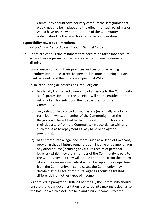Community should consider very carefully the safeguards that would need to be in place and the effect that such re-admission would have on the wider reputation of the Community, notwithstanding the need for charitable consideration.

#### **Responsibility towards ex-members**

*Go and may the Lord be with you.* (l Samuel 17:37)

**507** There are various circumstances that need to be taken into account where there is permanent separation either through release or dismissal.

Communities differ in their practices and customs regarding members continuing to receive personal income, retaining personal bank accounts and their making of personal Wills.

If, in 'renouncing all possessions' the Religious:

- (a) has legally transferred ownership of all assets to the Community at life profession, then the Religious will not be entitled to the return of such assets upon their departure from the Community;
- (b) only relinquished control of such assets (essentially as a longterm loan), whilst a member of the Community, then the Religious will be entitled to claim the return of such assets upon their departure from the Community (in accordance with any such terms as to repayment as may have been agreed previously);
- (c) has entered into a legal document (such as a Deed of Covenant) providing that all future remuneration, income or payment from any other source (including any future receipt of personal legacies) whilst they are a member of the Community is paid to the Community and they will not be entitled to claim the return of such monies received whilst a member upon their departure from the Community. In some cases, the Community may decide that the receipt of future legacies should be treated differently from other types of income.

As detailed in paragraph 1004 in Chapter 10, the Community should ensure that clear documentation is entered into making it clear as to the basis on which assets are held and future income is treated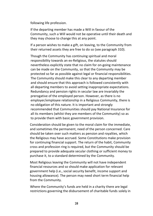following life profession.

If the departing member has made a Will in favour of the Community, such a Will would not be operative until their death and they may choose to change this at any point.

If a person wishes to make a gift, on leaving, to the Community from their returned assets they are free to do so (see paragraph 310).

Though the Community has continuing spiritual and moral responsibility towards an ex-Religious, the statutes should nevertheless explicitly state that no claim for on-going maintenance can be made on the Community, so that the Community may be protected so far as possible against legal or financial responsibilities. The Community should make this clear to any departing member and should ensure that this approach is followed consistently with all departing members to avoid setting inappropriate expectations. Redundancy and pension rights in secular law are invariably the prerogative of the employed person. However, as there is no employer/employee relationship in a Religious Community, there is no obligation of this nature. It is important and strongly recommended that Communities should pay National Insurance for all its members (whilst they are members of the Community) so as to provide them with basic government provision.

Consideration should be given to the moral claim for the immediate, and sometimes the permanent, need of the person concerned. Care should be taken over such matters as pension and royalties, which the Religious may have accrued. Some Constitutions make provision for continuing financial support. The return of the habit, Community cross and profession ring is required, but the Community should be prepared to provide adequate secular clothing or sufficient money to purchase it, to a standard determined by the Community.

Most Religious leaving the Community will not have independent financial resources and so should make application for relevant government help (i.e., social security benefit, income support and housing allowance). The person may need short term financial help from the Community.

Where the Community's funds are held in a charity there are legal restrictions governing the disbursement of charitable funds solely in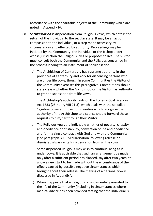accordance with the charitable objects of the Community which are noted in Appendix IV.

- **508** *Secularisation* is dispensation from Religious vows, which entails the return of the individual to the secular state. It may be an act of compassion to the individual, or a step made necessary by circumstances and effected by authority. Proceedings may be initiated by the Community, the individual or the bishop under whose jurisdiction the Religious lives or proposes to live. The Visitor must consult both the Community and the Religious concerned in the process leading to an Instrument of Secularisation.
	- (a) The Archbishop of Canterbury has supreme authority in the provinces of Canterbury and York for dispensing persons who are under life vows, though in some Communities the Visitor of the Community exercises this prerogative. Constitutions should state clearly whether the Archbishop or the Visitor has authority to grant dispensation from life vows.

The Archbishop's authority rests on the Ecclesiastical Licences Act 1533 (25 Henry VIII 21.3), which deals with the so-called 'legatine powers'. Those Communities which recognise the authority of the Archbishop to dispense should forward these requests to him/her through their Visitor.

(b) The Religious vows are indivisible whether of poverty, chastity and obedience or of stability, conversion of life and obedience and form a single contract with God and with the Community (see paragraph 303). Secularisation, following release or dismissal, always entails dispensation from all the vows.

Some dispensed Religious may wish to continue living as if under vows. It is advisable that such an arrangement be made only after a sufficient period has elapsed, say after two years, to allow a new start to be made without the encumbrance of the effects caused by possible negative circumstances which brought about their release. The making of a personal vow is discussed in Appendix V.

(c) When it appears that a Religious is fundamentally unsuited to the life of the Community (including in circumstances where medical advice has been provided stating that the individual is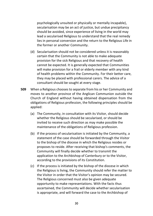psychologically unsuited or physically or mentally incapable), secularisation may be an act of justice, but undue precipitancy should be avoided, since experience of living in the world may lead a secularised Religious to understand that the real remedy lies in personal conversion and the return to the Religious Life in the former or another Community.

- (d) Secularisation should not be considered unless it is reasonably certain that the Community is not able to make adequate provision for the sick Religious and that recovery of health cannot be expected. It is generally expected that Communities will make provision for a frail or elderly member with any kind of health problems within the Community. For their better care, they may be placed with professional carers. The advice of a consultant should be sought at every stage.
- **509** When a Religious chooses to separate from his or her Community and moves to another province of the Anglican Communion outside the Church of England without having obtained dispensation from the obligations of Religious profession, the following principles should be applied:
	- (a) The Community, in consultation with its Visitor, should decide whether the Religious should be secularised, or should be invited to receive such direction as may make possible the maintenance of the obligations of Religious profession.
	- (b) If the process of secularisation is initiated by the Community, a statement of the case should be forwarded through the Visitor to the bishop of the diocese in which the Religious resides or proposes to reside. After receiving that bishop's comments, the Community will finally decide whether to transmit the application to the Archbishop of Canterbury or to the Visitor, according to the provisions of its Constitution.
	- (c) If the process is initiated by the bishop of the diocese in which the Religious is living, the Community should refer the matter to the Visitor in order that the Visitor's opinion may be secured. The Religious concerned must also be given adequate opportunity to make representations. With the facts thus ascertained, the Community will decide whether secularisation is appropriate, and will forward the case to the Archbishop of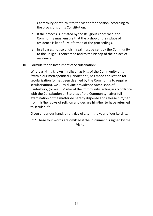Canterbury or return it to the Visitor for decision, according to the provisions of its Constitution.

- (d) If the process is initiated by the Religious concerned, the Community must ensure that the bishop of their place of residence is kept fully informed of the proceedings.
- (e) In all cases, notice of dismissal must be sent by the Community to the Religious concerned and to the bishop of their place of residence.
- **510** Formula for an Instrument of Secularisation:

Whereas N ... , known in religion as N ... of the Community of ... \*within our metropolitical jurisdiction\*, has made application for secularisation (or has been deemed by the Community to require secularisation), we ... by divine providence Archbishop of Canterbury, (or we ... Visitor of the Community, acting in accordance with the Constitution or Statutes of the Community), after full examination of the matter do hereby dispense and release him/her from his/her vows of religion and declare him/her to have returned to secular life.

Given under our hand, this … day of …… in the year of our Lord ……..

\* \* These four words are omitted if the instrument is signed by the Visitor.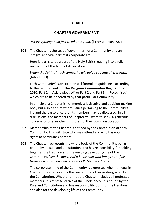### **CHAPTER 6**

## **CHAPTER GOVERNMENT**

*Test everything; hold fast to what is good.* (l Thessalonians 5:21)

**601** The Chapter is the seat of government of a Community and an integral and vital part of its corporate life.

Here it learns to be a part of the Holy Spirit's leading into a fuller realisation of the truth of its vocation.

*When the Spirit of truth comes, he will guide you into all the truth.*  (John 16:13)

Each Community's Constitution will formulate guidelines, according to the requirements of **The Religious Communities Regulations 2020**, Part 2 (if Acknowledged) or Part 2 and Part 3 (if Recognised), which are to be adhered to by that particular Community.

In principle, a Chapter is not merely a legislative and decision-making body but also a forum where issues pertaining to the Community's life and the pastoral care of its members may be discussed. In all discussions, the members of Chapter will want to show a generous concern for one another in furthering their common vocation.

- **602** Membership of the Chapter is defined by the Constitution of each Community. This will state who may attend and who has voting rights at particular Chapters.
- **603** The Chapter represents the whole body of the Community, being bound by its Rule and Constitution, and has responsibility for holding together the tradition and the ongoing developing life of the Community*, 'like the master of a household who brings out of his treasure what is new and what is old'* (Matthew 13:52)*.*

The corporate mind of the Community is expressed when it meets in Chapter, presided over by the Leader or another as designated by the Constitution. Whether or not the Chapter includes all professed members, it is representative of the whole body. It is bound by the Rule and Constitution and has responsibility both for the tradition and also for the developing life of the Community.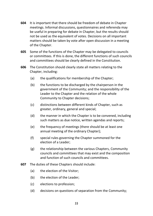- **604** It is important that there should be freedom of debate in Chapter meetings. Informal discussions, questionnaires and referenda may be useful in preparing for debate in Chapter, but the results should not be used as the equivalent of votes. Decisions on all important matters should be taken by vote after open discussion in a meeting of the Chapter.
- **605** Some of the functions of the Chapter may be delegated to councils or committees. If this is done, the different functions of such councils and committees should be clearly defined in the Constitution.
- **606** The Constitution should clearly state all matters relating to the Chapter, including:
	- (a) the qualifications for membership of the Chapter;
	- (b) the functions to be discharged by the chairperson in the government of the Community; and the responsibility of the Leader to the Chapter and the relation of the whole Community to Chapter decisions;
	- (c) distinctions between different kinds of Chapter, such as greater, ordinary, general and special;
	- (d) the manner in which the Chapter is to be convened, including such matters as due notice, written agendas and reports;
	- (e) the frequency of meetings (there should be at least one annual meeting of the ordinary Chapter);
	- (f) special rules governing the Chapter summoned for the election of a Leader;
	- (g) the relationship between the various Chapters, Community councils and committees that may exist and the composition and function of such councils and committees.
- **607** The duties of these Chapters should include:
	- (a) the election of the Visitor;
	- (b) the election of the Leader:
	- (c) elections to profession;
	- (d) decisions on questions of separation from the Community;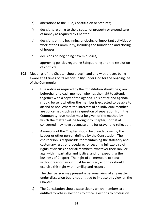- (e) alterations to the Rule, Constitution or Statutes;
- (f) decisions relating to the disposal of property or expenditure of money as required by Chapter;
- (g) decisions on the beginning or closing of important activities or work of the Community, including the foundation and closing of houses;
- (h) decisions on beginning new ministries;
- (i) approving policies regarding Safeguarding and the resolution of conflicts.
- **608** Meetings of the Chapter should begin and end with prayer, being aware at all times of its responsibility under God for the ongoing life of the Community.
	- (a) Due notice as required by the Constitution should be given beforehand to each member who has the right to attend, together with a copy of the agenda. This notice and agenda should be sent whether the member is expected to be able to attend or not. Where the interests of an individual member are concerned (such as in a question of separation from the Community) due notice must be given of the method by which the matter will be brought to Chapter, so that all concerned may have adequate time for prayer and reflection.
	- (b) A meeting of the Chapter should be presided over by the Leader or other person defined by the Constitution. The chairperson is responsible for maintaining the statutory and customary rules of procedure; for securing full exercise of rights of discussion for all members, whatever their rank or age, with impartiality and justice; and for expediting the business of Chapter. The right of all members to speak without fear or favour must be secured; and they should exercise this right with humility and respect.

The chairperson may present a personal view of any matter under discussion but is not entitled to impose this view on the Chapter.

(c) The Constitution should state clearly which members are entitled to vote in elections to office, elections to profession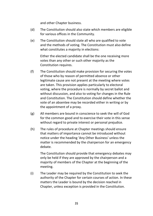and other Chapter business.

- (d) The Constitution should also state which members are eligible for various offices in the Community.
- (e) The Constitution should state all who are qualified to vote and the methods of voting. The Constitution must also define what constitutes a majority in elections:

Either the elected candidate shall be the one receiving more votes than any other or such other majority as the Constitution requires.

- (f) The Constitution should make provision for securing the votes of those who by reason of permitted absence or other legitimate cause are not present at the meeting where votes are taken. This provision applies particularly to electoral voting, where the procedure is normally by secret ballot and without discussion, and also to voting for changes in the Rule and Constitution. The Constitution should define whether the vote of an absentee may be recorded either in writing or by the appointment of a proxy.
- (g) All members are bound in conscience to seek the will of God for the common good and to exercise their vote in this sense without regard to private interest or personal prejudice.
- (h) The rules of procedure at Chapter meetings should ensure that matters of importance cannot be introduced without notice under the heading 'Any Other Business' unless the matter is recommended by the chairperson for an emergency debate.

The Constitution should provide that emergency debates may only be held if they are approved by the chairperson and a majority of members of the Chapter at the beginning of the meeting.

(i) The Leader may be required by the Constitution to seek the authority of the Chapter for certain courses of action. In these matters the Leader is bound by the decision reached in Chapter, unless exception is provided in the Constitution.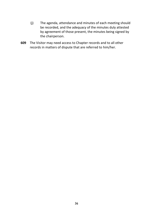- (j) The agenda, attendance and minutes of each meeting should be recorded, and the adequacy of the minutes duly attested by agreement of those present, the minutes being signed by the chairperson.
- **609** The Visitor may need access to Chapter records and to all other records in matters of dispute that are referred to him/her.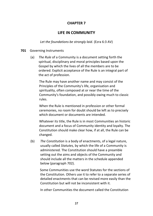### **CHAPTER 7**

# **LIFE IN COMMUNITY**

*Let the foundations be strongly laid.* (Ezra 6:3 AV)

#### **701** Governing Instruments

(a) *The Rule* of a Community is a document setting forth the spiritual, disciplinary and moral principles based upon the Gospel by which the lives of all the members are to be ordered. Explicit acceptance of the Rule is an integral part of the act of profession.

The Rule may have another name and may consist of the Principles of the Community's life, organisation and spirituality, often composed at or near the time of the Community's foundation, and possibly owing much to classic rules.

When the Rule is mentioned in profession or other formal ceremonies, no room for doubt should be left as to precisely which document or documents are intended.

Whatever its title, the Rule is in most Communities an historic document and a focus of Community identity and loyalty. The Constitution should make clear how, if at all, the Rule can be changed.

(b) *The Constitution* is a body of enactments, of a legal nature, usually called *Statutes,* by which the life of a Community is administered. The Constitution should have a preamble setting out the aims and objects of the Community and should include all the matters in the schedule appended below (paragraph 702).

Some Communities use the word Statutes for the sections of the Constitution. Others use it to refer to a separate series of detailed enactments that can be revised more easily than the Constitution but will not be inconsistent with it.

In other Communities the document called the Constitution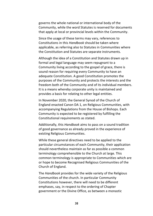governs the whole national or international body of the Community, while the word Statutes is reserved for documents that apply at local or provincial levels within the Community.

Since the usage of these terms may vary, references to Constitutions in this *Handbook* should be taken where applicable, as referring also to Statutes in Communities where the Constitution and Statutes are separate instruments.

Although the idea of a Constitution and Statutes drawn up in formal and legal language may seem repugnant to a Community living according to the gospel of grace, there is sound reason for requiring every Community to have an adequate Constitution. A good Constitution promotes the purposes of the Community and protects the interests and the freedom both of the Community and of its individual members. It is a means whereby corporate unity is maintained and provides a basis for relating to other legal entities.

In November 2020, the General Synod of the Church of England enacted Canon DA 1, on Religious Communities, with accompanying Regulations from the House of Bishops. Each Community is expected to be registered by fulfilling the Constitutional requirements as stated.

Additionally, this *Handbook* aims to pass on a sound tradition of good governance as already proved in the experience of existing Religious Communities.

While these general directives need to be applied to the particular circumstances of each Community, their application should nevertheless maintain as far as possible a common terminology comprehensible to the Church at large. This common terminology is appropriate to Communities which are or hope to become Recognised Religious Communities of the Church of England.

The *Handbook* provides for the wide variety of the Religious Communities of the church. In particular Community Constitutions however, there will need to be different emphases, say, in respect to the ordering of Chapter government or the Divine Office, as between a monastic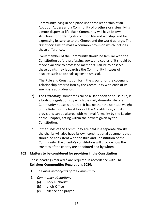Community living in one place under the leadership of an Abbot or Abbess and a Community of brothers or sisters living a more dispersed life. Each Community will have its own structures for ordering its common life and worship, and for expressing its service to the Church and the world at large. The *Handbook* aims to make a common provision which includes these differences.

Every member of the Community should be familiar with the Constitution before professing vows, and copies of it should be made available to professed members. Failure to observe these points may jeopardise the Community in cases of dispute, such as appeals against dismissal.

The Rule and Constitution form the ground for the covenant relationship entered into by the Community with each of its members at profession.

- (c) The *Customary,* sometimes called a Handbook or house rule, is a body of regulations by which the daily domestic life of a Community house is ordered. It has neither the spiritual weight of the Rule, nor the legal force of the Constitution, and its provisions can be altered with minimal formality by the Leader or the Chapter, acting within the powers given by the Constitution.
- (d) If the funds of the Community are held in a separate charity, the charity will also have its own constitutional document that should be consistent with the Rule and Constitution of the Community. The charity's constitution will provide how the trustees of the charity are appointed and by whom.

#### **702 Matters to be considered for provision in the Constitution**

Those headings marked \* are required in accordance with **The Religious Communities Regulations 2020**:

- 1. *The aims and objects of the Community*
- 2. *Community obligations* 
	- (a) holy eucharist
	- (b) choir Office
	- (c) silence and prayer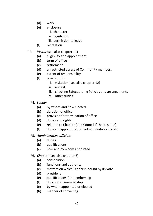- (d) work
- (e) enclosure
	- i. character
	- ii. regulation
	- iii. permission to leave
- (f) recreation
- \* 3*. Visitor* (see also chapter 11)
	- (a) eligibility and appointment
	- (b) term of office
	- (c) retirement
	- (d) unrestricted access of Community members
	- (e) extent of responsibility
	- (f) provision for
		- i. visitation (see also chapter 12)
		- ii. appeal
		- iii. checking Safeguarding Policies and arrangements
		- iv. other duties
	- \*4*. Leader*
		- (a) by whom and how elected
		- (b) duration of office
		- (c) provision for termination of office
		- (d) duties and rights
		- (e) relation to Chapter (and Council if there is one)
		- (f) duties in appointment of administrative officials

### \*5. *Administrative officials*

- (a) duties
- (b) qualifications
- (c) how and by whom appointed
- \*6*. Chapter* (see also chapter 6)
	- (a) constitution
	- (b) functions and authority
	- (c) matters on which Leader is bound by its vote
	- (d) president
	- (e) qualifications for membership
	- (f) duration of membership
	- (g) by whom appointed or elected
	- (h) manner of convening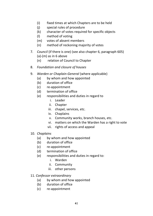- (i) fixed times at which Chapters are to be held
- (j) special rules of procedure
- (k) character of votes required for specific objects
- (l) method of voting
- (m) votes of absent members
- (n) method of reckoning majority of votes
- 7*. Council* (if there is one) (see also chapter 6, paragraph 605) (a)-(m) as in 6 above
	- (n) relation of Council to Chapter
- 8. *Foundation and closure of houses*
- 9. *Warden or Chaplain-General* (where applicable)
	- (a) by whom and how appointed
	- (b) duration of office
	- (c) re-appointment
	- (d) termination of office
	- (e) responsibilities and duties in regard to
		- i. Leader
		- ii. Chapter
		- iii. chapel, services, etc.
		- iv. Chaplains
		- v. Community works, branch houses, etc.
		- vi. matters on which the Warden has a right to vote
		- vii. rights of access and appeal

### 10. *Chaplains*

- (a) by whom and how appointed
- (b) duration of office
- (c) re-appointment
- (d) termination of office
- (e) responsibilities and duties in regard to:
	- i. Warden
	- ii. Community
	- iii. other persons

### 11*. Confessor extraordinary*

- (a) by whom and how appointed
- (b) duration of office
- (c) re-appointment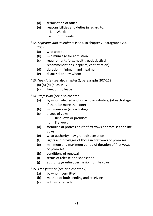- (d) termination of office
- (e) responsibilities and duties in regard to:
	- i. Warden
	- ii. Community
- \*12*. Aspirants and Postulants* (see also chapter 2, paragraphs 202- 206**)** 
	- (a) who accepts
	- (b) minimum age for admission
	- (c) requirements (e.g., health, ecclesiastical recommendations, baptism, confirmation)
	- (d) duration (minimum and maximum)
	- (e) dismissal and by whom
- \*13*. Noviciate* (see also chapter 2, paragraphs 207-212)
	- (a) (b) (d) (e) as in 12
	- (c) freedom to leave
- \*14. *Profession* (see also chapter 3)
	- (a) by whom elected and, on whose initiative, (at each stage if there be more than one)
	- (b) minimum age (at each stage)
	- (c) stages of vows
		- i. first vows or promises
		- ii. life vows
	- (d) formulae of profession (for first vows or promises and life vows)
	- (e) what authority may grant dispensation
	- (f) rights and privileges of those in first vows or promises
	- (g) minimum and maximum period of duration of first vows or promises
	- (h) conditions of renewal
	- (i) terms of release or dispensation
	- (j) authority granting permission for life vows
- \*15. *Transference* (see also chapter 4)
	- (a) by whom permitted
	- (b) method of both sending and receiving
	- (c) with what effects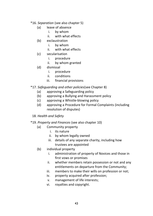- \*16. *Separation* (see also chapter 5)
	- (a) leave of absence
		- i. by whom
		- ii. with what effects
	- (b) exclaustration
		- i. by whom
		- ii. with what effects
	- (c) secularisation
		- i. procedure
		- ii. by whom granted
	- (d) dismissal
		- i. procedure
		- ii. conditions
		- iii. financial provisions
- \*17. *Safeguarding and other policies*(see Chapter 8)
	- (a) approving a Safeguarding policy
	- (b) approving a Bullying and Harassment policy
	- (c) approving a Whistle-blowing policy
	- (d) approving a Procedure for Formal Complaints (including resolution of disputes)
- 18. *Health and Safety*
- \*19. *Property and Finances* (see also chapter 10)
	- (a) Community property
		- i. its nature
		- ii. by whom legally owned
		- iii. details of any separate charity, including how trustees are appointed
	- (b) individual property
		- i. administration of property of Novices and those in first vows or promises
		- ii. whether members retain possession or not and any entitlements on departure from the Community;
		- iii. members to make their wills on profession or not;
		- iv. property acquired after profession;
		- v. management of life interests;
		- vi. royalties and copyright.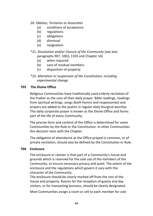#### 20. *Oblates, Tertiaries or Associates*

- (a) conditions of acceptance
- (b) regulations
- (c) obligations
- (d) dismissal
- (e) resignation
- \*21. *Dissolution and/or Closure of the Community* (see also paragraphs 907, 1002**,** 1103 and Chapter 14)
	- (a) when required
	- (b) care of residual members
	- (c) disposition of property
- \*22. *Alteration or Suspension of the Constitution, including experimental change.*

#### **703 The Divine Office**

Religious Communities have traditionally used orderly recitation of the Psalter as the core of their daily prayer. Bible readings, readings from spiritual writings, songs (both hymns and responsories) and prayers are added to the psalms in regular daily liturgical worship. This daily corporate prayer is known as the Divine Office and forms part of the life of every Community.

The precise form and content of the Office is determined for some Communities by the Rule or the Constitution. In other Communities this decision rests with the Chapter.

The obligation of attendance at the Office prayed in common, or of private recitation, should also be defined by the Constitution or Rule.

### **704 Enclosure**

The enclosure or cloister is that part of a Community's house and grounds which is reserved for the sole use of the members of the Community, to ensure necessary privacy and quiet. The extent of the enclosure and the regulations which govern it vary with the character of the Community.

The enclosure should be clearly marked off from the rest of the house and property. Rooms for the reception of guests and day visitors, or for transacting business, should be clearly designated.

Most Communities assign a room or cell to each member for sole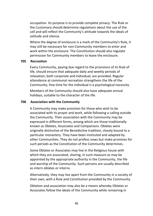occupation. Its purpose is to provide complete privacy. The Rule or the Customary should determine regulations about the use of the cell and will reflect the Community's attitude towards the ideals of solitude and silence.

Where the degree of enclosure is a mark of the Community's Rule, it may still be necessary for non-Community members to enter and work within the enclosure. The Constitution should also regulate permission for Community members to leave the enclosure.

#### **705 Recreation**

Every Community, paying due regard to the provisions of its Rule of life, should ensure that adequate daily and weekly periods of relaxation, both corporate and individual, are provided. Regular attendance at communal recreation strengthens the life of the Community; free time for the individual is a psychological necessity.

Members of the Community should also have adequate annual holidays, suitable to the character of the life.

#### **706 Association with the Community**

A Community may make provision for those who wish to be associated with its prayer and work, while following a calling outside the Community. Their association with the Community may be expressed in different forms, among which are those traditionally known as Oblates, Associates and Companions. Oblates were originally distinctive of the Benedictine tradition, closely bound to a particular monastery. They have been instituted and adapted by other Communities. They do not profess vows but make promises for such periods as the Constitution of the Community determines.

Some Oblates or Associates may live in the Religious house with which they are associated, sharing, in such measure as may be appointed by the appropriate authority in the Community, the life and worship of the Community. Such persons are usually described as intern oblates or interns.

Alternatively, they may live apart from the Community in a society of their own, with a Rule and Constitution provided by the Community.

Oblation and association may also be a means whereby Oblates or Associates follow the ideals of the Community while remaining in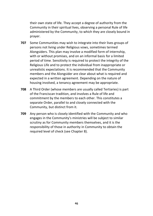their own state of life. They accept a degree of authority from the Community in their spiritual lives, observing a personal Rule of life administered by the Community, to which they are closely bound in prayer.

- **707** Some Communities may wish to integrate into their lives groups of persons not living under Religious vows, sometimes termed Alongsiders. This plan may involve a modified form of internship, with or without promises, and on an informal basis for a limited period of time. Sensitivity is required to protect the integrity of the Religious Life and to protect the individual from inappropriate or unrealistic expectations. It is recommended that the Community members and the Alongsider are clear about what is required and expected in a written agreement. Depending on the nature of housing involved, a tenancy agreement may be appropriate.
- **708** A Third Order (whose members are usually called Tertiaries) is part of the Franciscan tradition, and involves a Rule of life and commitment by the members to each other. This constitutes a separate Order, parallel to and closely connected with the Community, but distinct from it.
- **709** Any person who is closely identified with the Community and who engages in the Community's ministries will be subject to similar scrutiny as for Community members themselves, and it is the responsibility of those in authority in Community to obtain the required level of check (see Chapter 8).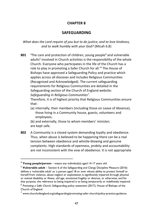## **CHAPTER 8**

# **SAFEGUARDING**

*What does the Lord require of you but to do justice, and to love kindness, and to walk humbly with your God?* (Micah 6.8)

**801 'The care and protection of children, young people<sup>4</sup> and vulnerable** adults<sup>5</sup> involved in Church activities is the responsibility of the whole Church. Everyone who participates in the life of the Church has a role to play in promoting a Safer Church for all.' <sup>6</sup> The House of Bishops have approved a Safeguarding Policy and practice which applies across all dioceses and includes Religious Communities (Recognised and Acknowledged). The current safeguarding requirements for Religious Communities are detailed in the Safeguarding section of the Church of England website*: Safeguarding in Religious Communities<sup>7</sup> .*

Therefore, it is of highest priority that Religious Communities ensure that:

- (a) internally, their members (including those on Leave of Absence), those living in a Community house, guests, volunteers and employees;
- (b) and externally, those to whom members' minister; are kept safe.
- **802** A Community is a closed system demanding loyalty and obedience. Thus, when abuse is believed to be happening there can be a real tension between obedience and whistle-blowing and genuine complaints. High standards of openness, probity and accountability are not inconsistent with the vow of obedience. It is not appropriate

<sup>4</sup> **Young people/person** – means any individual(s) aged 14-17 years old

<sup>5</sup> **Vulnerable adult** – Section 6 of the Safeguarding and Clergy Discipline Measure (2016) defines a 'vulnerable adult' as 'a person aged 18 or over whose ability to protect himself or herself from violence, abuse neglect or exploitation is significantly impaired through physical or mental disability or illness, old age, emotional fragility or distress, or otherwise; and for that purpose, the reference to being impaired is to being temporarily or indefinitely impaired. 6 *Promoting a Safer Church*, Safeguarding policy statement (2017), House of Bishops of the

Church of England

 $<sup>7</sup>$  www.churchofengland.org/safeguarding/promoting-safer-church/policy-practice-guidance</sup>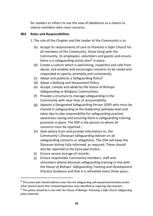for Leaders or others to use the vow of obedience as a means to silence members who raise concerns.

### **803 Roles and Responsibilities**

1. The role of the Chapter and the Leader of the Community is to:

- (a) Accept its requirements of care to *Promote a Safer Church* for all members of the Community, those living with the Community, its employees, volunteers and guests and ensure there is a safeguarding action plan<sup>8</sup> in place;
- (b) Create a culture which is welcoming, respectful and safe from abuse, and enables and encourages concerns to be raised and responded to openly, promptly and consistently;
- (c) Adopt and publicise a Safeguarding Policy<sup>9</sup>
- (d) Adopt a Bullying and Harassment Policy;
- (e) Accept, comply and abide by the House of Bishops' *Safeguarding in Religious Communities;*
- (f) Provide a structure to manage safeguarding in the Community with clear lines of accountability;
- (g) Appoint a Designated Safeguarding Person (DSP) who must be trained in safeguarding at the leadership pathway level and takes day-to-day responsibility for safeguarding practice, awareness raising and ensuring there is safeguarding training provision in place. The DSP is the person to whom all concerns must be reported ;
- (h) Seek advice from and provide information to, the Community's Diocesan Safeguarding Adviser on all safeguarding concerns or allegations. The DSA will keep the Diocesan bishop fully informed, as required. These should also be reported to the Episcopal Visitor;
- (i) Ensure secure storage of records;
- (j) Ensure responsible Community members, staff and volunteers attend diocesan safeguarding training in line with the *House of Bishops' Safeguarding Training and Development Practice Guidance* and that it is refreshed every three years;

 $8$  The action plan should address areas that the safeguarding self-assessment/checklist and/or other lessons learnt that reviews/inspections have identified as requiring improvement.

<sup>9</sup> This policy should be in line with the House of Bishops' *Promoting a Safer Church Safeguarding policy statement.*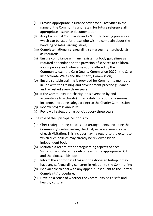- (k) Provide appropriate insurance cover for all activities in the name of the Community and retain for future reference all appropriate insurance documentation;
- (l) Adopt a Formal Complaints and a Whistleblowing procedure which can be used for those who wish to complain about the handling of safeguarding issues;
- (m) Complete national safeguarding self-assessments/checklists as required;
- (n) Ensure compliance with any registering body guidelines as required dependant on the provision of services to children, young people and vulnerable adults offered by the Community e.g., the Care Quality Commission (CQC), the Care Inspectorate Wales and the Charity Commission;
- (o) Ensure suitable training is provided for Community members in line with the training and development practice guidance and refreshed every three years;
- (p) If the Community is a charity (or is overseen by and accountable to a charity) it has a duty to report any serious incidents (including safeguarding) to the Charity Commission.
- (q) Review progress annually;
- (r) Review all safeguarding policies every three years.
- 2. The role of the Episcopal Visitor is to:
	- (a) Check safeguarding policies and arrangements, including the Community's safeguarding checklist/self-assessment as part of each Visitation. This includes having regard to the extent to which such policies may already be reviewed by an independent body;
	- (b) Maintain a record of the safeguarding aspects of each Visitation and share the outcome with the appropriate DSA and the diocesan bishop;
	- (c) Inform the appropriate DSA and the diocesan bishop if they have any safeguarding concerns in relation to the Community;
	- (d) Be available to deal with any appeal subsequent to the Formal Complaints' procedure;
	- (e) Develop a sense of whether the Community has a safe and healthy culture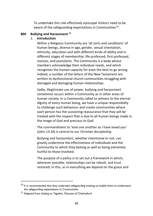To undertake this role effectively episcopal Visitors need to be aware of the safeguarding expectations in Communities<sup>10</sup>.

#### **804 Bullying and Harassment <sup>11</sup>**

#### 1. **Introduction**

Within a Religious Community are 'all sorts and conditions' of human beings, diverse in age, gender, sexual orientation, ethnicity, education and with different kinds of ability and in different stages of membership: life professed, first professed, novices, and postulants. The Community is a body whose members acknowledge their individual needs, and which recognises the human capacity for even the best to go wrong. Indeed, a number of the letters of the New Testament are written to dysfunctional church communities struggling with damaged and damaging human relationships.

Sadly, illegitimate use of power, bullying and harassment sometimes occurs within a Community as in other areas of human society. In a Community called to witness to the eternal dignity of every human being, we have a unique responsibility to challenge such behaviour and create communities where each person has the sustaining reassurance that they will be treated with the respect that is due to all human beings made in the image of God and precious to God.

The commandment to 'love one another as I have loved you' (John 13.34) is central to our Christian discipleship.

Bullying and harassment, whether intentional or not, can greatly undermine the effectiveness of individuals and the Community to which they belong as well as being extremely hurtful to those involved.

The purpose of a policy is to set out a framework in which, wherever possible, relationships can be rebuilt, and trust restored. In this, as in everything we depend on the grace and

 $10$  It is recommended that they undertake safeguarding training to enable them to understand the safeguarding expectations in Communities

<sup>11</sup> Adapted from *Getting on Together,* Diocese of Chelmsford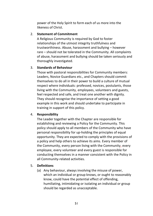power of the Holy Spirit to form each of us more into the likeness of Christ.

### 2. **Statement of Commitment**

A Religious Community is required by God to foster relationships of the utmost integrity truthfulness and trustworthiness. Abuse, harassment and bullying – however rare – should not be tolerated in the Community. All complaints of abuse, harassment and bullying should be taken seriously and thoroughly investigated.

### 3. **Standards of Behaviour**

Those with pastoral responsibilities for Community members: Leaders, Novice Guardians etc., and Chapters should commit themselves to do all in their power to build a culture of mutual respect where individuals: professed, novices, postulants, those living with the Community, employees, volunteers and guests, feel respected and safe, and treat one another with dignity. They should recognise the importance of setting a good example in this work and should undertake to participate in training in support of this policy.

### 4. **Responsibility**

The Leader together with the Chapter are responsible for establishing and reviewing a Policy for the Community. This policy should apply to all members of the Community who have personal responsibility for up-holding the principles of equal opportunity. They are expected to comply with the provisions of a policy and help others to achieve its aims. Every member of the Community, every person living with the Community, every employee, every volunteer and every guest is responsible for conducting themselves in a manner consistent with the Policy in all Community-related activities.

## 5. **Definitions**

(a) Any behaviour, always involving the misuse of power, which an individual or group knows, or ought to reasonably know, could have the potential effect of offending, humiliating, intimidating or isolating an individual or group should be regarded as unacceptable.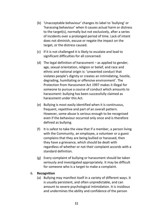- (b) 'Unacceptable behaviour' changes its label to 'bullying' or 'harassing behaviour' when it causes actual harm or distress to the target(s), normally but not exclusively, after a series of incidents over a prolonged period of time. Lack of intent does not diminish, excuse or negate the impact on the target, or the distress caused.
- (c) If it is not challenged it is likely to escalate and lead to significant difficulties for all concerned.
- (d) The legal definition of harassment as applied to gender, age, sexual orientation, religion or belief, and race and ethnic and national origin is: 'unwanted conduct that violates people's dignity or creates an intimidating, hostile, degrading, humiliating or offensive environment'. The Protection from Harassment Act 1997 makes it illegal for someone to pursue a course of conduct which amounts to harassment: bullying has been successfully claimed as harassment under this Act.
- (e) Bullying is most easily identified when it is continuous, frequent, repetitive and part of an overall pattern. However, some abuse is serious enough to be recognised even if the behaviour occurred only once and is therefore defined as bullying.
- (f) It is safest to take the view that if a member, a person living with the Community, an employee, a volunteer or a guest complains that they are being bullied or harassed, then they have a grievance, which should be dealt with regardless of whether or not their complaint accords with a standard definition.
- (g) Every complaint of bullying or harassment should be taken seriously and investigated appropriately. It may be difficult for someone who is a target to make a complaint.

### 6. **Recognition**

(a) Bullying may manifest itself in a variety of different ways. It is usually persistent, and often unpredictable, and can amount to severe psychological intimidation. It is insidious and undermines the ability and confidence of the person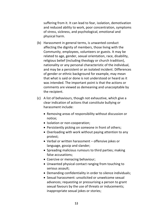suffering from it. It can lead to fear, isolation, demotivation and reduced ability to work, poor concentration, symptoms of stress, sickness, and psychological, emotional and physical harm.

- (b) Harassment in general terms, is unwanted conduct affecting the dignity of members, those living with the Community, employees, volunteers or guests. It may be related to age, gender, sexual orientation, race, disability, religious belief (including theology or church tradition), nationality or any personal characteristic of the individual, and may be a persistent or an isolated incident. Differences of gender or ethnic background for example, may mean that what is said or done is not understood or heard as it was intended. The important point is that the actions or comments are viewed as demeaning and unacceptable by the recipient.
- (c) A list of behaviours, though not exhaustive, which give a clear indication of actions that constitute bullying or harassment include:
	- Removing areas of responsibility without discussion or notice;
	- Isolation or non-cooperation;
	- Persistently picking on someone in front of others;
	- Overloading with work without paying attention to any protest;
	- Verbal or written harassment offensive jokes or language, gossip and slander;
	- Spreading malicious rumours to third parties; making false accusations;
	- Coercive or menacing behaviour;
	- Unwanted physical contact ranging from touching to serious assault;
	- Demanding confidentiality in order to silence individuals;
	- Sexual harassment: unsolicited or unwelcome sexual advances; requesting or pressurising a person to grant sexual favours by the use of threats or inducements; inappropriate sexual jokes or stories;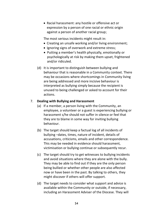• Racial harassment: any hostile or offensive act or expression by a person of one racial or ethnic origin against a person of another racial group;

The most serious incidents might result in:

- Creating an unsafe working and/or living environment;
- Ignoring signs of overwork and extreme stress;
- Putting a member's health physically, emotionally or psychologically at risk by making them upset, frightened and/or ridiculed.
- (d) It is important to distinguish between bullying and behaviour that is reasonable in a Community context. There may be occasions where shortcomings in Community living are being addressed and more incisive behaviour is interpreted as bullying simply because the recipient is unused to being challenged or asked to account for their actions.

### 7. **Dealing with Bullying and Harassment**

- (a) If a member, a person living with the Community, an employee, a volunteer or a guest is experiencing bullying or harassment s/he should not suffer in silence or feel that they are to blame in some way for inviting bullying behaviour.
- (b) The target should keep a factual log of all incidents of bullying –dates, times, nature of incident, details of accusations, criticisms, emails and other correspondence. This may be needed in evidence should harassment, victimisation or bullying continue or subsequently recur.
- (c) The target should try to get witnesses to bullying incidents and avoid situations where they are alone with the bully. They may be able to find out if they are the only person being bullied or whether other people are also affected now or have been in the past. By talking to others, they might discover if others will offer support.
- (d) The target needs to consider what support and advice is available within the Community or outside, if necessary, including an Harassment Adviser of the Diocese. They will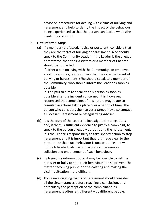advise on procedures for dealing with claims of bullying and harassment and help to clarify the impact of the behaviour being experienced so that the person can decide what s/he wants to do about it.

#### 8. **First Informal Steps**

(a) If a member (professed, novice or postulant) considers that they are the target of bullying or harassment, s/he should speak to the Community Leader. If the Leader is the alleged perpetrator, then their Assistant or a member of Chapter should be contacted.

If either a person living with the Community, an employee, a volunteer or a guest considers that they are the target of bullying or harassment, s/he should speak to a member of the Community, who should inform the Leader as soon as possible.

It is helpful to aim to speak to this person as soon as possible after the incident concerned. It is, however, recognised that complaints of this nature may relate to cumulative actions taking place over a period of time. The person who considers themselves a target may also contact a Diocesan Harassment or Safeguarding Adviser.

- (b) It is the duty of the Leader to investigate the allegations and, if there is sufficient evidence to justify a complaint, to speak to the person allegedly perpetrating the harassment. It is the Leader's responsibility to take speedy action to stop harassment and it is important that it is made clear to the perpetrator that such behaviour is unacceptable and will not be tolerated. Silence or inaction can be seen as collusion and endorsement of such behaviour.
- (c) By trying the informal route, it may be possible to get the harasser or bully to stop their behaviour and so prevent the matter becoming public, or of escalating and making the victim's situation more difficult.
- (d) Those investigating claims of harassment should consider all the circumstances before reaching a conclusion, and particularly the perception of the complainant, as harassment is often felt differently by different people.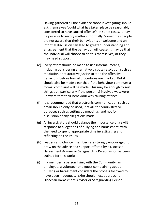Having gathered all the evidence those investigating should ask themselves 'could what has taken place be reasonably considered to have caused offence?' In some cases, it may be possible to rectify matters informally. Sometimes people are not aware that their behaviour is unwelcome and an informal discussion can lead to greater understanding and an agreement that the behaviour will cease. It may be that the individual will choose to do this themselves, or they may need support.

- (e) Every effort should be made to use informal means, including considering alternative dispute resolution such as mediation or restorative justice to stop the offensive behaviour before formal procedures are invoked. But it should also be made clear that if the behaviour continues a formal complaint will be made. This may be enough to sort things out, particularly if the person(s) involved was/were unaware that their behaviour was causing offence.
- (f) It is recommended that electronic communication such as email should only be used, if at all, for administrative purposes such as setting up meetings, and not for discussion of any allegations made.
- (g) All investigators should balance the importance of a swift response to allegations of bullying and harassment, with the need to spend appropriate time investigating and reflecting on the issues.
- (h) Leaders and Chapter members are strongly encouraged to draw on the advice and support offered by a Diocesan Harassment Adviser or Safeguarding Person who has been trained for this work;
- (i) If a member, a person living with the Community, an employee, a volunteer or a guest complaining about bullying or harassment considers the process followed to have been inadequate, s/he should next approach a Diocesan Harassment Adviser or Safeguarding Person.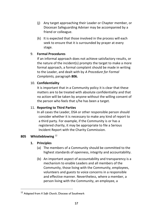- (j) Any target approaching their Leader or Chapter member, or Diocesan Safeguarding Adviser may be accompanied by a friend or colleague.
- (k) It is expected that those involved in the process will each seek to ensure that it is surrounded by prayer at every stage.

# 9. **Formal Procedures**

If an informal approach does not achieve satisfactory results, or the nature of the incident(s) prompts the target to make a more formal approach, a formal complaint should be made in writing to the Leader, and dealt with by *A Procedure for Formal Complaints,* paragraph **806.**

## 10. **Confidentiality**

It is important that in a Community policy it is clear that these matters are to be treated with absolute confidentiality and that no action will be taken by anyone without the willing consent of the person who feels that s/he has been a target.

# 11. **Reporting to Third Parties**

In all cases the Leader, DSA or other responsible person should consider whether it is necessary to make any kind of report to a third party. For example, if the Community is or has a registered charity, it may be appropriate to file a Serious Incident Report with the Charity Commission.

## **805 Whistleblowing** <sup>12</sup>

## **1. Principles**

- (a) The members of a Community should be committed to the highest standards of openness, integrity and accountability.
- (b) An important aspect of accountability and transparency is a mechanism to enable Leaders and all members of the Community, those living with the Community, employees, volunteers and guests to voice concerns in a responsible and effective manner. Nevertheless, where a member, a person living with the Community, an employee, a

<sup>12</sup> Adapted from *A Safe Church*, Diocese of Southwark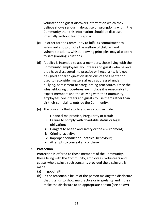volunteer or a guest discovers information which they believe shows serious malpractice or wrongdoing within the Community then this information should be disclosed internally without fear of reprisal.

- (c) In order for the Community to fulfil its commitment to safeguard and promote the welfare of children and vulnerable adults, whistle-blowing principles may also apply to safeguarding situations.
- (d) A policy is intended to assist members, those living with the Community, employees, volunteers and guests who believe they have discovered malpractice or irregularity. It is not designed either to question decisions of the Chapter or used to reconsider matters already addressed under bullying, harassment or safeguarding procedures. Once the whistleblowing procedures are in place it is reasonable to expect members and those living with the Community, employees, volunteers and guests to use them rather than air their complaints outside the Community.
- (e) The concerns that a policy covers could include:
	- i. Financial malpractice, irregularity or fraud;
	- ii. Failure to comply with charitable status or legal obligation;
	- iii. Dangers to health and safety or the environment;
	- iv. Criminal activity;
	- v. Improper conduct or unethical behaviour;
	- vi. Attempts to conceal any of these.

#### **2. Protection**

Protection is offered to those members of the Community, those living with the Community, employees, volunteers and guests who disclose such concerns provided the disclosure is made:

- (a) In good faith;
- (b) In the reasonable belief of the person making the disclosure that it tends to show malpractice or irregularity and if they make the disclosure to an appropriate person (see below)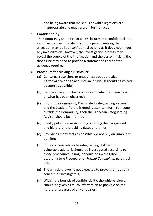and being aware that malicious or wild allegations are inappropriate and may result in further action.

### **3. Confidentiality**

The Community should treat all disclosures in a confidential and sensitive manner. The identity of the person making the allegation may be kept confidential so long as it does not hinder any investigation. However, the investigation process may reveal the source of the information and the person making the disclosure may need to provide a statement as part of the evidence required.

#### **4. Procedure for Making a Disclosure**

- (a) Concerns, suspicions or uneasiness about practice, performance or behaviour of an individual should be voiced as soon as possible;
- (b) Be specific about what is of concern, what has been heard or what has been observed;
- (c) Inform the Community Designated Safeguarding Person and the Leader. If there is good reason to inform someone outside the Community, then the Diocesan Safeguarding Adviser should be informed;
- (d) Ideally put concerns in writing outlining the background and history, and providing dates and times;
- (e) Provide as many facts as possible, do not rely on rumour or opinion;
- (f) If the concern relates to safeguarding children or vulnerable adults, it should be investigated according to those procedures; If not, it should be investigated according to *A Procedure for Formal Complaints,* paragraph **806***;*
- (g) The whistle-blower is not expected to prove the truth of a concern or investigate it;
- (h) Within the bounds of confidentiality, the whistle-blower should be given as much information as possible on the nature or progress of any enquiries;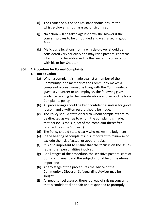- (i) The Leader or his or her Assistant should ensure the whistle-blower is not harassed or victimised;
- (j) No action will be taken against a whistle-blower if the concern proves to be unfounded and was raised in good faith;
- (k) Malicious allegations from a whistle-blower should be considered very seriously and may raise pastoral concerns which should be addressed by the Leader in consultation with his or her Chapter.

### **806 A Procedure for Formal Complaints**

## **1. Introduction**

- (a) When a complaint is made against a member of the Community, or a member of the Community makes a complaint against someone living with the Community, a guest, a volunteer or an employee, the following gives guidance relating to the considerations and an outline for a Complaints policy.
- (b) All proceedings should be kept confidential unless for good reason, and a written record should be made.
- (c) The Policy should state clearly to whom complaints are to be directed as well as to whom the complaint is made, if that person is the subject of the complaint (hereafter referred to as the 'subject').
- (d) The Policy should state clearly who makes the judgment.
- (e) In the hearing of complaints it is important to minimise or exclude the risk of actual or apparent bias.
- (f) It is also important to ensure that the focus is on the issues rather than personalities involved.
- (g) At all stages of the procedure, the sensitive pastoral care of both complainant and the subject should be of the utmost importance.
- (h) At any stage of the procedures the advice of the Community's Diocesan Safeguarding Adviser may be sought.
- (i) All need to feel assured there is a way of raising concerns that is confidential and fair and responded to promptly.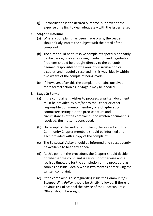(j) Reconciliation is the desired outcome, but never at the expense of failing to deal adequately with the issues raised.

## **2. Stage 1: Informal**

- (a) Where a complaint has been made orally, the Leader should firstly inform the subject with the detail of the complaint.
- (b) The aim should be to resolve complaints speedily and fairly by discussion, problem-solving, mediation and negotiation. Problems should be brought directly to the person(s) deemed responsible for the area of dissatisfaction or disquiet, and hopefully resolved in this way, ideally within two weeks of the complaint being made.
- (c) If, however, after this the complaint remains unsolved, more formal action as in Stage 2 may be needed.

# **3. Stage 2: Formal**

- (a) If the complainant wishes to proceed, a written document must be provided by him/her to the Leader or other responsible Community member, or a Chapter subcommittee setting out the precise nature and circumstances of the complaint. If no written document is received, the matter is concluded.
- (b) On receipt of the written complaint, the subject and the Community Chapter members should be informed and each provided with a copy of the complaint.
- (c) The Episcopal Visitor should be informed and subsequently be available to hear any appeal.
- (d) At this point in the procedure, the Chapter should decide on whether the complaint is serious or otherwise and a realistic timetable for the completion of the procedure as soon as possible, ideally within two months of receiving the written complaint.
- (e) If the complaint is a safeguarding issue the Community's *Safeguarding Policy*, should be strictly followed. If there is obvious risk of scandal the advice of the Diocesan Press Officer should be sought.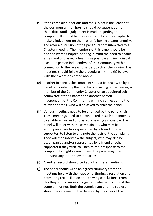- (f) If the complaint is serious and the subject is the Leader of the Community then he/she should be suspended from that Office until a judgement is made regarding the complaint. It should be the responsibility of the Chapter to make a judgement on the matter following a panel enquiry. and after a discussion of the panel's report submitted to a Chapter meeting. The members of this panel should be decided by the Chapter, bearing in mind the need to enable as fair and unbiassed a hearing as possible and including at least one person independent of the Community with no connection to the relevant parties, to chair the inquiry. The meetings should follow the procedure in (h) to (k) below, with the exceptions noted above.
- (g) In other instances the complaint should be dealt with by a panel, appointed by the Chapter, consisting of the Leader, a member of the Community Chapter or an appointed subcommittee of the Chapter and another person, independent of the Community with no connection to the relevant parties, who will be asked to chair the panel.
- (h) Various meetings need to be arranged by the panel chair. These meetings need to be conducted in such a manner as to enable as fair and unbiassed a hearing as possible. The panel will meet with the complainant, who may be accompanied and/or represented by a friend or other supporter, to listen to and note the facts of the complaint. They will then interview the subject, who may also be accompanied and/or represented by a friend or other supporter if they wish, to listen to their response to the complaint brought against them. The panel may then interview any other relevant parties.
- (i) A written record should be kept of all these meetings.
- (j) The panel should write an agreed summary from the meetings held with the hope of furthering a resolution and promoting reconciliation and drawing conclusions. From this they should make a judgement whether to uphold the complaint or not. Both the complainant and the subject should be informed of the decision by the chair of the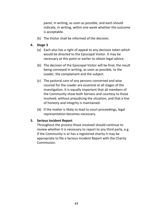panel, in writing, as soon as possible, and each should indicate, in writing, within one week whether the outcome is acceptable.

(k) The Visitor shall be informed of the decision.

## **4. Stage 3**

- (a) Each also has a right of appeal to any decision taken which would be directed to the Episcopal Visitor. It may be necessary at this point or earlier to obtain legal advice.
- (b) The decision of the Episcopal Visitor will be final, the result being conveyed in writing, as soon as possible, to the Leader, the complainant and the subject.
- (c) The pastoral care of any persons concerned and wise counsel for the Leader are essential at all stages of the investigation. It is equally important that all members of the Community show both fairness and courtesy to those involved, without prejudicing the situation, and that a line of honesty and integrity is maintained.
- (d) If the matter is likely to lead to court proceedings, legal representation becomes necessary.

### **5. Serious Incident Report**

Throughout the process those involved should continue to review whether it is necessary to report to any third party, e.g. if the Community is or has a registered charity it may be appropriate to file a Serious Incident Report with the Charity Commission.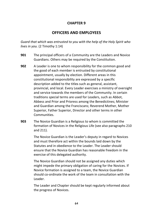# **CHAPTER 9**

# **OFFICERS AND EMPLOYEES**

*Guard that which was entrusted to you with the help of the Holy Spirit who lives in you.* (2 Timothy 1:14)

- **901** The principal officers of a Community are the Leaders and Novice Guardians. Others may be required by the Constitution.
- **902** A Leader is one to whom responsibility for the common good and the good of each member is entrusted by constitutional appointment, usually by election. Different areas in this constitutional responsibility are expressed by a specific description added to the titles such as general, assistant, provincial, and local. Every Leader exercises a ministry of oversight and service towards the members of the Community. In certain traditions special terms are used for Leaders, such as Abbot, Abbess and Prior and Prioress among the Benedictines; Minister and Guardian among the Franciscans; Reverend Mother, Mother Superior, Father Superior, Director and other terms in other Communities.
- **903** The Novice Guardian is a Religious to whom is committed the formation of Novices in the Religious Life (see also paragraphs 210 and 211).

The Novice Guardian is the Leader's deputy in regard to Novices and must therefore act within the bounds laid down by the Statutes and in obedience to the Leader. The Leader should ensure that the Novice Guardian has reasonable freedom in the exercise of this delegated authority.

The Novice Guardian should not be assigned any duties which might impede the primary obligation of caring for the Novices. If Novice formation is assigned to a team, the Novice Guardian should co-ordinate the work of the team in consultation with the Leader.

The Leader and Chapter should be kept regularly informed about the progress of Novices.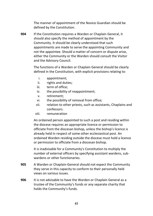The manner of appointment of the Novice Guardian should be defined by the Constitution.

**904** If the Constitution requires a Warden or Chaplain General, it should also specify the method of appointment by the Community. It should be clearly understood that such appointments are made to serve the appointing Community and not the appointee. Should a matter of concern or dispute arise, either the Community or the Warden should consult the Visitor and the Advisory Council.

> The functions of a Warden or Chaplain General should be clearly defined in the Constitution, with explicit provisions relating to:

- i. appointment;
- ii. rights and duties;
- iii. term of office;
- iv. the possibility of reappointment;
- v. retirement;
- vi. the possibility of removal from office;
- vii. relation to other priests, such as assistants, Chaplains and confessors.
- viii. remuneration

An ordained person appointed to such a post and residing within the diocese requires an appropriate licence or permission to officiate from the diocesan bishop, unless the bishop's licence is already held in respect of some other ecclesiastical post. An ordained Warden residing outside the diocese must hold a licence or permission to officiate from a diocesan bishop.

It is inadvisable for a Community's Constitution to multiply the number of external officers by specifying assistant wardens, subwardens or other functionaries.

- **905** A Warden or Chaplain-General should not expect the Community they serve in this capacity to conform to their personally held views on various issues.
- **906** It is not advisable to have the Warden or Chaplain General as a trustee of the Community's funds or any separate charity that holds the Community's funds.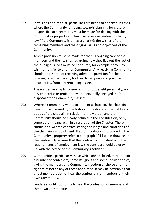**907** In this position of trust, particular care needs to be taken in cases where the Community is moving towards planning for closure. Responsible arrangements must be made for dealing with the Community's property and financial assets according to charity law (if the Community is or has a charity); the wishes of the remaining members and the original aims and objectives of the Community.

> Ample provision must be made for the full ongoing care of the members and their wishes regarding how they live out the rest of their Religious lives must be honoured, for example, they may wish to transfer to another Community. Any receiving Community should be assured of receiving adequate provision for their ongoing care, particularly for their latter years and possible incapacities, from any remaining assets.

> The warden or chaplain-general must not benefit personally, nor any enterprise or project they are personally engaged in, from the disposal of the Community's assets.

- **908** Where a Community wants to appoint a chaplain, the chaplain needs to be licensed by the bishop of the diocese. The rights and duties of the chaplain in relation to the warden and the Community should be clearly defined in the Constitution, or by some other means, e.g., in a resolution of the Chapter. There should be a written contract stating the length and conditions of the chaplain's appointment. If accommodation is provided in the Community's property refer to paragraph 1014 when drawing up the contract. To ensure that the contract is consistent with the requirements of employment law the contract should be drawn up with the advice of the Community's solicitor.
- **909** Communities, particularly those which are enclosed, may appoint a number of confessors, some Religious and some secular priests, giving the members of a Community freedom of choice and the right to resort to any of those appointed. It may be advisable that priest members do not hear the confessions of members of their own Community.

Leaders should not normally hear the confession of members of their own Communities.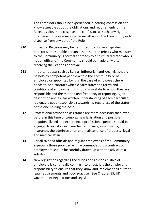The confessors should be experienced in hearing confession and knowledgeable about the obligations and requirements of the Religious Life. In no case has the confessor, as such, any right to intervene in the internal or external affairs of the Community or to dispense from any part of the Rule.

- **910** Individual Religious may be permitted to choose as spiritual director some suitable person other than the priests who minister to the Community. A formal approach to a spiritual director who is not an officer of the Community should be made only after receiving the Leader's approval.
- **911** Important posts such as Bursar, Infirmarian and Archivist should be held by competent people within the Community or be employed or appointed by it. In the case of employees there needs to be a contract which clearly states the terms and conditions of employment. It should also state to whom they are responsible and the method and frequency of reporting. A job description and a clear written understanding of each particular job enable good responsible stewardship regardless of the status of the one holding the post.
- **912** Professional advice and assistance are more necessary than ever before in this time of complex new legislation and possible litigation. Skilled and experienced professional people should be engaged to assist in such matters as finance, investments, insurance, the administration and maintenance of property, legal and medical affairs.
- **913** For all salaried officials and regular employees of the Community, especially those provided with accommodation, a contract of employment should be carefully drawn up with the advice of a solicitor.
- **914** New legislation regarding the duties and responsibilities of employers is continually coming into effect. It is the employer's responsibility to ensure that they know and implement all current legal requirements and good practice. (See Chapter 15, UK Government Regulations and Legislation)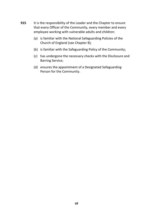- **915** It is the responsibility of the Leader and the Chapter to ensure that every Officer of the Community, every member and every employee working with vulnerable adults and children:
	- (a) is familiar with the National Safeguarding Policies of the Church of England (see Chapter 8);
	- (b) is familiar with the Safeguarding Policy of the Community;
	- (c) has undergone the necessary checks with the Disclosure and Barring Service;
	- (d) ensures the appointment of a Designated Safeguarding Person for the Community.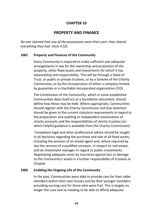# **CHAPTER 10**

# **PROPERTY AND FINANCE**

*No one claimed that any of the possessions were their own; they shared everything they had*. (Acts 4:32)

#### **1001 Property and Finances of the Community**

Every Community is required to make sufficient and adequate arrangements in law for the ownership and protection of the property, other fixed assets and investments for which it has stewardship and responsibility. This will be through a Deed of Trust, or public or private trustees, or by a Scheme of the Charity Commission, or by the incorporation of either a company limited by guarantee or a charitable incorporated organisation (CIO).

The Constitution of the Community, which in some established Communities does itself act as a foundation document, should define how these may be held. Where appropriate, Communities should register with the Charity Commission and due attention should be given to the current statutory requirements in regard to the preparation and auditing or independent examination of charity accounts and the responsibilities of charity trustees (on which helpful guidance is available from the Charity Commission).

Competent legal and other professional advice should be sought in all decisions regarding the purchase and sale of all fixed assets, including the services of an estate agent and, where required by law the services of a qualified surveyor, in respect to real estate, and an investment manager in regard to public investments. Negotiating adequate cover by insurance against loss or damage to the Community's assets is a further responsibility of trustees or Chapter.

#### **1002 Enabling the Ongoing Life of the Community**

In the past, Communities were able to provide care for their older members within their own houses and by their younger members providing nursing care for those who were frail. This is largely no longer the case and so needing to be able to afford adequate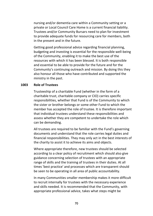nursing and/or dementia care within a Community setting or a private or Local Council Care Home is a current financial liability. Trustees and/or Community Bursars need to plan for investment to provide adequate funds for resourcing care for members, both in the present and in the future.

Getting good professional advice regarding financial planning, budgeting and investing is essential for the responsible well-being of the Community, enabling it to make the best use of the resources with which it has been blessed. It is both responsible and essential to be able to provide for the future and for the Community's continuing outreach and mission. By doing this they also honour all those who have contributed and supported the ministry in the past.

#### **1003 Role of Trustees**

Trusteeship of a charitable Fund (whether in the form of a charitable trust, charitable company or CIO) carries specific responsibilities, whether that Fund is of the Community to which the sister or brother belongs or some other Fund to which the member has accepted the role of trustee. It is therefore important that individual trustees understand these responsibilities and assess whether they are competent to undertake the role which can be demanding.

All trustees are required to be familiar with the Fund's governing documents and understand that the role carries legal duties and financial responsibilities. They may only act in the best interests of the charity to assist it to achieve its aims and objects.

Where appropriate therefore, new trustees should be selected according to a clear policy of recruitment which should also give guidance concerning selection of trustees with an appropriate range of skills and the training of trustees in their duties. At all times 'best practice' and processes which are transparent should be seen to be operating in all area of public accountability.

In many Communities smaller membership makes it more difficult to recruit internally for trustees with the necessary experience and skills needed. It is recommended that the Community, with appropriate professional advice, takes what steps might be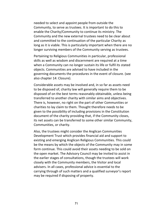needed to select and appoint people from outside the Community, to serve as trustees. It is important to do this to enable the Charity/Community to continue its ministry. The Community and the new external trustees need to be clear about and committed to the continuation of the particular Charity as long as it is viable. This is particularly important when there are no longer surviving members of the Community serving as trustees.

Pertaining to Religious Communities in particular, professional skills as well as wisdom and discernment are required at a time when a Community can no longer sustain its life or fulfil its stated objects. Communities are advised to have included in the governing documents the procedures in the event of closure. (see also chapter 14: Closure).

Considerable assets may be involved and, in so far as assets need to be disposed of, charity law will generally require them to be disposed of on the best terms reasonably obtainable, unless being transferred to another charity with similar aims and objectives. There is, however, no right on the part of other Communities or charities to lay claim to them. Thought therefore needs to be given to the possibility of including provisions in the Constitution document of the charity providing that, if the Community closes, its net assets can be transferred to some other similar Community, Communities, or charity.

Also, the trustees might consider the Anglican Communities Development Trust which provides financial aid and support to existing and emerging Anglican Religious Communities. This could be the means by which the objects of the Community may in some form continue. This could avoid their assets needing to be sold on the open market. The Advisory Council may be invited to assist in the earlier stages of consultations, though the trustees will work closely with the Community members, the Visitor and local advisers. In all cases, professional advice is essential to the carrying through of such matters and a qualified surveyor's report may be required if disposing of property.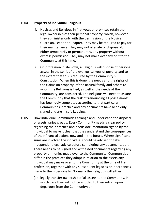#### **1004 Property of Individual Religious**

- i. Novices and Religious in first vows or promises retain the legal ownership of their personal property, which, however, they administer only with the permission of the Novice Guardian, Leader or Chapter. They may be required to pay for their maintenance. They may not alienate or dispose of, either temporarily or permanently, any property without express permission. They may not make over any of it to the Community at this time.
- ii. On profession in life vows, a Religious will dispose of personal assets, in the spirit of the evangelical vow of poverty and to the extent that this is required by the Community's Constitution. When this is done, the needs and the rights of the claims on property, of the natural family and others to whom the Religious is tied, as well as the needs of the Community, are considered. The Religious will need to assure the Community that the task of 'renouncing all possessions' has been duly completed according to that particular Communities' practice and any documents have been duly signed and are in safe keeping.
- **1005** How individual Communities arrange and understand the disposal of assets varies greatly. Every Community needs a clear policy regarding their practice and needs documentation signed by the individual to make it clear that they understand the consequences of their financial actions now and in the future. Where significant sums are involved the individual should be advised to take independent legal advice before completing any documentation. There needs to be signed and witnessed documents regarding any property or monies made over to the Community. Communities differ in the practices they adopt in relation to the assets any individual may make over to the Community at the time of life profession, together with any subsequent legacies or inheritances made to them personally. Normally the Religious will either:
	- (a) legally transfer ownership of all assets to the Community, in which case they will not be entitled to their return upon departure from the Community; or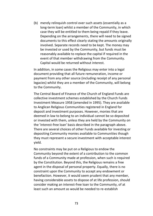(b) merely relinquish control over such assets (essentially as a long-term loan) whilst a member of the Community, in which case they will be entitled to them being repaid if they leave. Depending on the arrangements, there will need to be signed documents to this effect clearly stating the amounts originally involved. Separate records need to be kept. The money may be invested or used by the Community, but funds must be reasonably available to replace the capital if required in the event of that member withdrawing from the Community. Capital would be returned without interest.

In addition, in some cases the Religious may enter into a legal document providing that all future remuneration, income or payment from any other source (including receipt of any personal legacies) whilst they are a member of the Community, will belong to the Community.

The Central Board of Finance of the Church of England Funds are collective investment schemes established by the Church Funds Investment Measure 1958 (amended in 1995). They are available to Anglican Religious Communities registered in England for deposit and investment purposes. However, monies that are deemed in law to belong to an individual cannot be so deposited or invested with them, unless they are held by the Community on the 'interest-free loan' basis described in the paragraph above. There are several choices of other Funds available for investing or depositing Community monies available to Communities though they must represent a secure investment with acceptable interest yield.

No constraints may be put on a Religious to endow the Community beyond the extent of a contribution to the common funds of a Community made at profession, when such is required by the Constitution. Beyond this, the Religious remains a free agent in the disposal of personal property. Equally, there is no constraint upon the Community to accept any endowment or benefaction. However, it would seem prudent that any member, having considerable assets to dispose of at life profession, should consider making an interest-free loan to the Community, of at least such an amount as would be needed to re-establish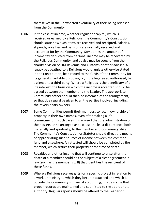themselves in the unexpected eventuality of their being released from the Community.

- **1006** In the case of income, whether regular or capital, which is received or earned by a Religious, the Community's Constitution should state how such items are received and receipted. Salaries, stipends, royalties and pensions are normally received and accounted for by the Community. Sometimes the amount of income tax deducted from personal income may be recovered by the Religious Community, and advice may be sought from the charity division of HM Revenue and Customs or other adviser. A legacy bequeathed to a Religious would, unless otherwise stated in the Constitution, be directed to the funds of the Community for its general charitable purposes, or, if the legatee so authorised, be assigned to a third party. Where a Religious is the beneficiary of a life interest, the basis on which the income is accepted should be agreed between the member and the Leader. The appropriate Community officer should then be informed of the arrangement, so that due regard be given to all the parties involved, including the reversionary owners.
- **1007** Some Communities permit their members to retain ownership of property in their own names, even after making a life commitment. In such cases it is advised that the administration of their assets be so arranged as to cause the least disturbance, both materially and spiritually, to the member and Community alike. The Community's Constitution or Statutes should direct the means of appropriating such sources of income between the common fund and elsewhere. An attested will should be completed by the member, which settles their property at the time of death.
- **1008** Royalties and other income that will continue to arise after the death of a member should be the subject of a clear agreement in law (such as the member's will) that identifies the recipient of these funds.
- **1009** Where a Religious receives gifts for a specific project in relation to a work or ministry to which they become attached and which is outside the Community's financial accounting, it is desirable that proper records are maintained and submitted to the appropriate authority. Regular reports should be offered to the Leader or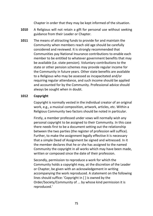Chapter in order that they may be kept informed of the situation.

- **1010** A Religious will not retain a gift for personal use without seeking guidance from their Leader or Chapter.
- **1011** The means of attracting funds to provide for and maintain the Community when members reach old age should be carefully considered and reviewed. It is strongly recommended that Communities pay National Insurance contributions to enable each member to be entitled to whatever government benefits that may be available (Le. state pension). Voluntary contributions to the state or other pension schemes may provide regular income for the Community in future years. Other state benefits are available to a Religious who may be assessed as incapacitated and/or requiring regular attendance, and such income should be applied and accounted for by the Community. Professional advice should always be sought when in doubt.

### **1012 Copyright**

Copyright is normally vested in the individual creator of an original work, e.g., a musical composition, artwork, articles, etc. Within a Religious Community two factors should be noted in particular.

Firstly, a member professed under vows will normally wish any personal copyright to be assigned to their Community. In this case there needs first to be a document setting out the relationship between the two parties (the register of profession will suffice). Further, to make the assignment legally effective it is necessary that a simple Deed of Assignment be signed and witnessed. In it the member declares that he or she has assigned to the named Community the copyright in all works which may have been made, written or composed since the date of their profession.

Secondly, permission to reproduce a work for which the Community holds a copyright may, at the discretion of the Leader or Chapter, be given with an acknowledgement in writing accompanying the work reproduced. A statement on the following lines should suffice: 'Copyright in [ ] is owned by the Order/Society/Community of ... by whose kind permission it is reproduced.'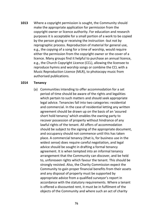**1013** Where a copyright permission is sought, the Community should make the appropriate application for permission from the copyright owner or licence authority. For education and research purposes it is acceptable for a small portion of a work to be copied by the person giving or receiving the instruction -but not by reprographic process. Reproduction of material for general use, e.g., the copying of a song for a time of worship, would require either the permission from the copyright owner or the cover of a licence. Many groups find it helpful to purchase an annual licence, e.g., the Church Copyright Licence (CCL), allowing the licensee to reproduce hymns and worship songs or combine the CCL with a Music Reproduction Licence (MLR), to photocopy music from authorised publications.

#### **1014 Tenancy**

(a) Communities intending to offer accommodation for a set period of time should be aware of the rights and legalities which pertain to such matters and should seek appropriate legal advice. Tenancies fall into two categories: residential and commercial. In the case of residential letting any written agreement should be drawn up on the basis of an 'assured short hold tenancy' which enables the owning party to recover possession of property without hindrance of any lawful rights of the tenant. All offers of accommodation should be subject to the signing of the appropriate document, and occupancy should not commence until this has taken place. A commercial tenancy (that is, for business use in the widest sense) does require careful negotiation, and legal advice should be sought in drafting a formal tenancy agreement. It is when tempted into an informal tenancy arrangement that the Community can discover, and be held to, unforeseen rights which favour the tenant. This should be strongly resisted. Also, the Charity Commission expect the Community to gain proper financial benefits from their assets and any disposal of property must be supported by appropriate advice from a qualified surveyor's report in accordance with the statutory requirements. Where a tenant is offered a discounted rent, it must be in fulfilment of the objects of the Community and where such an act of charity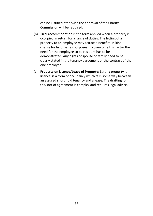can be justified otherwise the approval of the Charity Commission will be required.

- (b) **Tied Accommodation** is the term applied when a property is occupied in return for a range of duties. The letting of a property to an employee may attract a Benefits-in-kind charge for Income Tax purposes. To overcome this factor the need for the employee to be resident has to be demonstrated. Any rights of spouse or family need to be clearly stated in the tenancy agreement or the contract of the one employed.
- (c) **Property on Licence/Lease of Property**: Letting property 'on licence' is a form of occupancy which falls some way between an assured short hold tenancy and a lease. The drafting for this sort of agreement is complex and requires legal advice.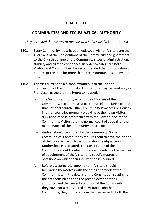# **CHAPTER 11**

# **COMMUNITIES AND ECCLESIASTICAL AUTHORITY**

*They entrusted themselves to the one who judges justly.* (1 Peter 2:23)

- **1101** Every Community must have an episcopal Visitor. Visitors are the guardians of the Constitutions of the Community and guarantors to the Church at large of the Community's sound administration, stability and right to confidence. In order to safeguard both Visitors and Communities it is recommended that bishops should not accept this role for more than three Communities at any one time.
- **1102** The Visitor must be a bishop extraneous to the life and membership of the Community. Another title may be used e.g., in Franciscan usage the title Protector is used.
	- (a) The Visitor's authority extends to all houses of the Community, except those situated outside the jurisdiction of that national church. Other Community Provinces or Houses in other countries normally would have their own Visitors duly appointed in accordance with the Constitution of the Community. Visitors are the normal court of appeal for the maintenance of the Community's discipline.
	- (b) Visitors should be chosen by the Community. Some Communities' Constitutions require them to have the bishop of the diocese in which the foundation headquarters or Mother house is situated. The Constitution of the Community should contain provisions regulating the manner of appointment of the Visitor and specify matters or occasions on which their intervention is required.
	- (c) Before accepting the appointment, Visitors should familiarise themselves with the ethos and work of the Community; with the details of the Constitution relating to their responsibilities and the precise extent of their authority; and the current condition of the Community. If they have not already acted as Visitor to another Community, they should inform themselves as to both the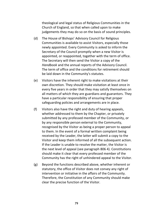theological and legal status of Religious Communities in the Church of England, so that when called upon to make judgements they may do so on the basis of sound principles.

- (d) The House of Bishops' Advisory Council for Religious Communities is available to assist Visitors, especially those newly appointed. Every Community is asked to inform the Secretary of the Council promptly when a new Visitor is appointed, or reappointed, together with the term of office. The Secretary will then send the Visitor a copy of the *Handbook* and the annual reports of the Advisory Council. The term of office and the conditions for retirement should be laid down in the Community's statutes.
- (e) Visitors have the inherent right to make visitations at their own discretion. They should make visitation at least once in every five years in order that they may satisfy themselves on all matters of which they are guardians and guarantors. They have a particular responsibility of ensuring that proper safeguarding policies and arrangements are in place.
- (f) Visitors also have the right and duty of hearing appeals, whether addressed to them by the Chapter, or privately submitted by any professed member of the Community, or by any responsible person external to the Community, recognised by the Visitor as being a proper person to appeal to them. In the event of a formal written complaint being received by the Leader, the latter will submit a copy to the Visitor and keep them informed of all the subsequent action. If the Leader is unable to resolve the matter, the Visitor is the next level of appeal (see paragraph 806 4). Constitutions should make it clear that every professed member of the Community has the right of unhindered appeal to the Visitor.
- (g) Beyond the functions described above, whether inherent or statutory, the office of Visitor does not convey any right of intervention or initiative in the affairs of the Community. Therefore, the Constitution of any Community should make clear the precise function of the Visitor.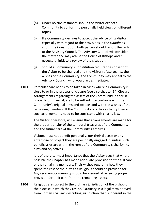- (h) Under no circumstances should the Visitor expect a Community to conform to personally held views on different topics.
- (i) If a Community declines to accept the advice of its Visitor, especially with regard to the provisions in the *Handbook*  about the Constitution, both parties should report the facts to the Advisory Council. The Advisory Council will consider the matter and may advise the House of Bishops and if necessary, initiate a review of the situation.
- (j) Should a Community's Constitution require the consent of the Visitor to be changed and the Visitor refuse against the wishes of the Community, the Community may appeal to the Advisory Council, who would act as mediator.
- **1103** Particular care needs to be taken in cases where a Community is close to or in the process of closure (see also chapter 14: Closure). Arrangements regarding the assets of the Community, either in property or financial, are to be settled in accordance with the Community's original aims and objects and with the wishes of the remaining members. If the Community is or has a charity then all such arrangements need to be consistent with charity law.

The Visitor, therefore, will ensure that arrangements are made for the proper transfer of the temporal treasures of the Community and the future care of the Community's archives.

Visitors must not benefit personally, nor their diocese or any enterprise or project they are personally engaged in, unless such beneficiaries are within the remit of the Community's charity, its aims and objectives.

It is of the uttermost importance that the Visitor sees that where possible the Chapter has made adequate provision for the full care of the remaining members. Their wishes regarding how they spend the rest of their lives as Religious should be provided for. Any receiving Community should be assured of receiving proper provision for their care from the remaining assets.

**1104** Religious are subject to the ordinary jurisdiction of the bishop of the diocese in which they reside. 'Ordinary' is a legal term derived from Roman civil law, describing jurisdiction that is inherent in the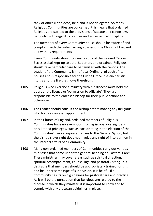rank or office (Latin *ordo)* held and is not delegated. So far as Religious Communities are concerned, this means that ordained Religious are subject to the provisions of statute and canon law, in particular with regard to licences and ecclesiastical discipline.

The members of every Community house should be aware of and compliant with the Safeguarding Policies of the Church of England and with its requirements.

Every Community should possess a copy of the Revised Canons Ecclesiastical kept up to date. Superiors and ordained Religious should take particular care to be familiar with the canons. The Leader of the Community is the 'local Ordinary' of each of its houses and is responsible for the Divine Office, the eucharistic liturgy and the life that flows therefrom.

- **1105** Religious who exercise a ministry within a diocese must hold the appropriate licence or 'permission to officiate'. They are responsible to the diocesan bishop for their public actions and utterances.
- **1106** The Leader should consult the bishop before moving any Religious who holds a diocesan appointment.
- **1107** In the Church of England, ordained members of Religious Communities have no exemption from episcopal oversight and only limited privileges, such as participating in the election of the Communities' clerical representatives to the General Synod; but the bishop's oversight does not involve any right of intervention in the internal affairs of a Community.
- **1108** Many non-ordained members of Communities carry out various ministries that come under the general heading of 'Pastoral Care'. These ministries may cover areas such as spiritual direction, spiritual accompaniment, counselling, and pastoral visiting. It is desirable that members should be appropriately trained for this and be under some type of supervision. It is helpful if a Community has its own guidelines for pastoral care and practice. As it will be the perception that Religious are related to the diocese in which they minister, it is important to know and to comply with any diocesan guidelines in place.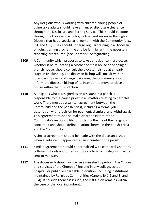Any Religious who is working with children, young people or vulnerable adults should have enhanced disclosure clearance through the Disclosure and Barring Service. This should be done through the Diocese in which s/he lives and serves or through a Diocese that has a special arrangement with the Community (e.g., SSF and CSF). They should undergo regular training in a Diocesan ongoing training programme and be familiar with the necessary reporting procedures. (see Chapter 8: Safeguarding)

- **1109** A Community which proposes to take up residence in a diocese, whether it be re-locating a Mother or main house or opening a branch house, should consult the diocesan bishop at an early stage in its planning. The diocesan bishop will consult with the local parish priest and clergy. Likewise, the Community should inform the diocesan bishop of its intention to move or close a house within their jurisdiction.
- **1110** A Religious who is assigned as an assistant in a parish is responsible to the parish priest in all matters relating to parochial work. There must be a written agreement between the Community and the parish priest, including a formal job description with provision for payment, dismissal and withdrawal. This agreement must also make clear the extent of the Community's responsibility for ordering the life of the Religious concerned and should define relations between the parish priest and the Community.

A similar agreement should be made with the diocesan bishop when a Religious is appointed as an incumbent of a parish.

- **1111** Similar agreements should be formalised with cathedral Chapters, colleges, schools and other institutions to which Religious may be sent to minister.
- **1112** The diocesan bishop may license a minister to perform the Offices and services of the Church of England in any college, school, hospital, or public or charitable institution, including institutions maintained by Religious Communities (Canons B41.2 and 3; and CS.4). If no such licence is issued, the institution remains within the cure of the local incumbent.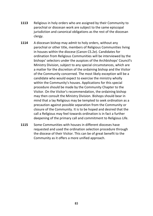- **1113** Religious in holy orders who are assigned by their Community to parochial or diocesan work are subject to the same episcopal jurisdiction and canonical obligations as the rest of the diocesan clergy.
- **1114** A diocesan bishop may admit to holy orders, without any parochial or other title, members of Religious Communities living in houses within the diocese (Canon CS.2e). Candidates for ordination from Religious Communities will be interviewed by the bishops' selectors under the auspices of the Archbishops' Council's Ministry Division, subject to any special circumstances, which are a matter for the discretion of the ordaining bishop and the Visitor of the Community concerned. The most likely exception will be a candidate who would expect to exercise the ministry wholly within the Community's houses. Applications for this special procedure should be made by the Community Chapter to the Visitor. On the Visitor's recommendation, the ordaining bishop may then consult the Ministry Division. Bishops should bear in mind that a lay Religious may be tempted to seek ordination as a precaution against possible separation from the Community or closure of the Community. It is to be hoped and desired that the call a Religious may feel towards ordination is in fact a further deepening of the primary call and commitment to Religious Life.
- **1115** Some Communities with houses in different dioceses have requested and used the ordination selection procedure through the diocese of their Visitor. This can be of great benefit to the Community as it offers a more unified approach.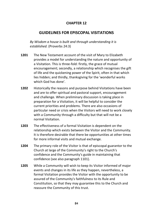### **CHAPTER 12**

## **GUIDELINES FOR EPISCOPAL VISITATIONS**

*By Wisdom a house is built and through understanding it is established.* (Proverbs 24:3)

- **1201** The New Testament account of the visit of Mary to Elizabeth provides a model for understanding the nature and opportunity of a Visitation. This is three-fold: firstly, the grace of mutual encouragement; secondly, a relationship which recognises the gift of life and the quickening power of the Spirit, often in that which lies hidden; and thirdly, thanksgiving for the 'wonderful works which God has done'.
- **1202** Historically the reasons and purpose behind Visitations have been and are to offer spiritual and pastoral support, encouragement and challenge. When preliminary discussion is taking place in preparation for a Visitation, it will be helpful to consider the current priorities and problems. There are also occasions of particular need or crisis when the Visitors will need to work closely with a Community through a difficulty but that will not be a normal Visitation.
- **1203** The effectiveness of a formal Visitation is dependent on the relationship which exists between the Visitor and the Community. It is therefore desirable that there be opportunities at other times for more informal visits and mutual exchange.
- **1204** The primary role of the Visitor is that of episcopal guarantor to the Church at large of the Community's right to the Church's confidence and the Community's guide in maintaining that confidence (see also paragraph 1101).
- **1205** While a Community will wish to keep its Visitor informed of major events and changes in its life as they happen, nevertheless, a formal Visitation provides the Visitor with the opportunity to be assured of the Community's faithfulness to its Rule and Constitution, so that they may guarantee this to the Church and reassure the Community of this trust.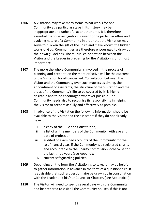- **1206** A Visitation may take many forms. What works for one Community at a particular stage in its history may be inappropriate and unhelpful at another time. It is therefore essential that due recognition is given to the particular ethos and evolving nature of a Community in order that the Visitation may serve to quicken the gift of the Spirit and make known the hidden works of God. Communities are therefore encouraged to draw up their own guidelines. The mutual co-operation between the Visitor and the Leader in preparing for the Visitation is of utmost importance.
- **1207** The more the whole Community is involved in the process of planning and preparation the more effective will be the outcome of the Visitation for all concerned. Consultation between the Visitor and the Community over such matters as timing, the appointment of assistants, the structure of the Visitation and the areas of the Community's life to be covered by it, is highly desirable and to be encouraged wherever possible. The Community needs also to recognise its responsibility in helping the Visitor to prepare as fully and effectively as possible.
- **1208** In advance of the Visitation the following information should be available to the Visitor and the assistants if they do not already have it:
	- i. a copy of the Rule and Constitution;
	- ii. a list of all the members of the Community, with age and date of profession;
	- iii. audited or examined accounts of the Community for the last financial year, if the Community is a registered charity and accountable to the Charity Commission -otherwise for the last three years (see Appendix II);
		- iv. current safeguarding policies.
- **1209** Depending on the form the Visitation is to take, it may be helpful to gather information in advance in the form of a questionnaire. It is advisable that such a questionnaire be drawn up in consultation with the Leader and his/her Council or Chapter. (see Appendix II)
- **1210** The Visitor will need to spend several days with the Community and be prepared to visit all the Community houses. If this is not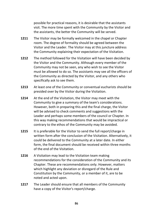possible for practical reasons, it is desirable that the assistants visit. The more time spent with the Community by the Visitor and the assistants, the better the Community will be served.

- 1211 The Visitor may be formally welcomed in the chapel or Chapter room. The degree of formality should be agreed between the Visitor and the Leader. The Visitor may at this juncture address the Community explaining their expectation of the Visitation.
- **1212** The method followed for the Visitation will have been decided by the Visitor and the Community. Although every member of the Community may not be seen, any who wish to see the Visitor must be allowed to do so. The assistants may see all the officers of the Community as directed by the Visitor, and any others who specifically ask to see them.
- **1213** At least one of the Community or conventual eucharists should be presided over by the Visitor during the Visitation.
- **1214** At the end of the Visitation, the Visitor may meet with the Community to give a summary of the team's considerations. However, both in preparing this and the final charge, the Visitor will be advised to check comments and suggestions with the Leader and perhaps some members of the council or Chapter. In this way making recommendations that would be impractical or contrary to the ethos of the Community may be avoided.
- **1215** It is preferable for the Visitor to send the full report/charge in written form after the conclusion of the Visitation. Alternatively, it could be delivered to the Community at a later date. In either form, the final document should be received within three months of the end of the Visitation.
- **1216** A Visitation may lead to the Visitation team making recommendations for the consideration of the Community and its Chapter. These are recommendations only. However, matters which highlight any deviation or disregard of the Rule and Constitution by the Community, or a member of it, are to be noted and acted upon.
- **1217** The Leader should ensure that all members of the Community have a copy of the Visitor's report/charge.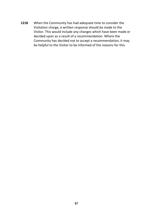**1218** When the Community has had adequate time to consider the Visitation charge, a written response should be made to the Visitor. This would include any changes which have been made or decided upon as a result of a recommendation. Where the Community has decided not to accept a recommendation, it may be helpful to the Visitor to be informed of the reasons for this.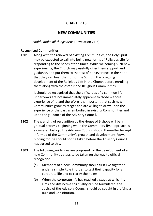### **CHAPTER 13**

### **NEW COMMUNITIES**

*Behold I make all things new.* (Revelation 21:5)

#### **Recognised Communities**

**1301** Along with the renewal of existing Communities, the Holy Spirit may be expected to call into being new forms of Religious Life for responding to the needs of the times. While welcoming such new experiments, the Church may usefully offer them support and guidance, and put them to the test of perseverance in the hope that they can bear the fruit of the Spirit in the on-going development of the Religious Life in the Church before enrolling them along with the established Religious Communities.

> It should be recognised that the difficulties of a common life under vows are not immediately apparent to those without experience of it, and therefore it is important that such new Communities grow by stages and are willing to draw upon the experience of the past as embodied in existing Communities and upon the guidance of the Advisory Council.

- **1302** The granting of recognition by the House of Bishops will be a gradual process beginning when the Community first approaches a diocesan bishop. The Advisory Council should thereafter be kept informed of the Community's growth and development. Vows binding for life should not be taken before the Advisory Council has agreed to this.
- **1303** The following guidelines are proposed for the development of a new Community as steps to be taken on the way to official recognition:
	- (a) Members of a new Community should first live together under a simple Rule in order to test their capacity for a corporate life and to clarify their aims.
	- (b) When the corporate life has reached a stage at which its aims and distinctive spirituality can be formulated, the advice of the Advisory Council should be sought in drafting a Rule and Constitution.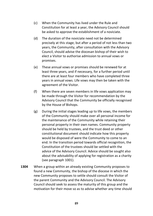- (c) When the Community has lived under the Rule and Constitution for at least a year, the Advisory Council should be asked to approve the establishment of a noviciate.
- (d) The duration of the noviciate need not be determined precisely at this stage; but after a period of not less than two years, the Community, after consultation with the Advisory Council, should advise the diocesan bishop of their wish to elect a Visitor to authorise admission to annual vows or promises.
- (e) These annual vows or promises should be renewed for at least three years, and if necessary, for a further period until there are at least four members who have completed three years in annual vows. Life vows may then be taken with the agreement of the Visitor.
- (f) When there are seven members in life vows application may be made through the Visitor for recommendation by the Advisory Council that the Community be officially recognised by the House of Bishops.
- (g) During the initial stages leading up to life vows, the members of the Community should make over all personal income for the maintenance of the Community while retaining their personal property in their own names. Community property should be held by trustees, and the trust deed or other constitutional document should indicate how this property would be disposed of were the Community to come to an end. In the transition period towards official recognition, the Constitution of the trustees should be settled with the advice of the Advisory Council. Advice should be sought also about the advisability of applying for registration as a charity (see paragraph 1001).
- **1304** When a group within an already existing Community proposes to found a new Community, the bishop of the diocese in which the new Community proposes to settle should consult the Visitor of the parent Community and the Advisory Council. The Advisory Council should seek to assess the maturity of this group and the motivation for their move so as to advise whether any time should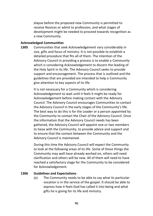elapse before the proposed new Community is permitted to receive Novices or admit to profession, and what stages of development might be needed to proceed towards recognition as a new Community.

#### **Acknowledged Communities**

**1305** Communities that seek Acknowledgement vary considerably in size, gifts and focus of ministry. It is not possible to establish a detailed procedure that fits all of them. The intention of the Advisory Council in providing a process is to enable a Community which is considering Acknowledgement to discern the leading of the Holy Spirit in its life. The Advisory Council seeks to provide support and encouragement. The process that is outlined and the guidelines that are provided are intended to help a Community give attention to key aspects of its life.

> It is not necessary for a Community which is considering Acknowledgement to wait until it feels it might be ready for Acknowledgement before making contact with the Advisory Council. The Advisory Council encourages Communities to contact the Advisory Council in the early stages of the Community's life. The best way to do this is for the Leader or a person appointed by the Community to contact the Chair of the Advisory Council. Once the information that the Advisory Council needs has been gathered, the Advisory Council will appoint one or two members to liaise with the Community, to provide advice and support and to ensure that the contact between the Community and the Advisory Council is maintained.

During this time the Advisory Council will expect the Community to look at the following areas of its life. Some of these things the Community may well have already worked on, others will need clarification and others will be new. All of them will need to have reached a satisfactory stage for the Community to be considered for Acknowledgement.

#### **1306 Guidelines and Expectations**

(a) The Community needs to be able to say what its particular vocation is in the service of the gospel. It should be able to express how it feels God has called it into being and what gifts he is giving for its life and ministry.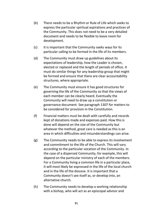- (b) There needs to be a Rhythm or Rule of Life which seeks to express the particular spiritual aspirations and practices of the Community. This does not need to be a very detailed document and needs to be flexible to leave room for development.
- (c) It is important that the Community seeks ways for its particular calling to be formed in the life of its members.
- (d) The Community must draw up guidelines about its expectations of leadership, how the Leader is chosen, elected or replaced and the length of periods of office. It must do similar things for any leadership group that might be formed and ensure that there are clear accountability structures, where appropriate.
- (e) The Community must ensure it has good structures for governing the life of the Community so that the views of each member can be clearly heard. Eventually the Community will need to draw up a constitution or governance document. See paragraph 1307 for matters to be considered for provision in the Constitution.
- (f) Financial matters must be dealt with carefully and records kept of donations made and expenses paid. How this is done will depend on the size of the Community but whatever the method, great care is needed as this is an area in which difficulties and misunderstandings can arise.
- (g) The Community needs to be able to express its involvement and commitment to the life of the Church. This will vary according to the particular vocation of the Community. In the case of a dispersed Community, for example, this will depend on the particular ministry of each of the members. For a Community living a common life in a particular place, it will most likely be expressed in the life of the local church and in the life of the diocese. It is important that a Community doesn't see itself as, or develop into, an alternative church.
- (h) The Community needs to develop a working relationship with a bishop, who will act as an episcopal advisor and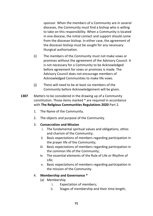sponsor. When the members of a Community are in several dioceses, the Community must find a bishop who is willing to take on this responsibility. When a Community is located in one diocese, the initial contact and support should come from the diocesan bishop. In either case, the agreement of the diocesan bishop must be sought for any necessary liturgical authorisation.

- (i) The members of the Community must not make vows or promises without the agreement of the Advisory Council. It is not necessary for a Community to be Acknowledged before agreement for vows or promises is made. The Advisory Council does not encourage members of Acknowledged Communities to make life vows.
- (j) There will need to be at least six members of the Community before Acknowledgement will be given.
- **1307** Matters to be considered in the drawing up of a Community constitution. Those items marked \* are required in accordance with **The Religious Communities Regulations 2020** Part 2.
	- 1. The Name of the Community.
	- 2. The objects and purpose of the Community.
	- 3. **Consecration and Mission**
		- i. The fundamental spiritual values and obligations, ethos and charism of the Community;
		- ii. Basic expectations of members regarding participation in the prayer life of the Community;
		- iii. Basic expectations of members regarding participation in the common life of the Community;
		- iv. The essential elements of the Rule of Life or Rhythm of Life;
		- v. Basic expectations of members regarding participation in the mission of the Community.

### 4. **Membership and Governance \***

- (a) Membership
	- i. Expectation of members*;*
	- ii. Stages of membership and their time length;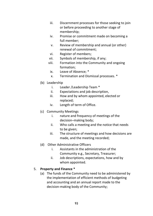- iii. Discernment processes for those seeking to join or before proceeding to another stage of membership;
- iv. Promise or commitment made on becoming a full member;
- v. Review of membership and annual (or other) renewal of commitment;
- vi. Register of members;
- vii. Symbols of membership, if any;
- viii. Formation into the Community and ongoing formation;
	- ix. Leave of Absence; \*
	- x. Termination and Dismissal processes. \*
- (b) Leadership
	- i. Leader /Leadership Team \*
	- ii. Expectations and job description,
	- iii. How and by whom appointed, elected or replaced;
	- iv. Length of term of Office.
- (c) Community Meetings
	- i. nature and frequency of meetings of the decision–making body;
	- ii. Who calls a meeting and the notice that needs to be given;
	- iii. The structure of meetings and how decisions are made, and the meeting recorded;
- (d) Other Administrative Officers
	- i. Assistants in the administration of the Community e.g., Secretary, Treasurer;
	- ii. Job descriptions, expectations, how and by whom appointed.

### 5. **Property and Finance \***

(a) The funds of the Community need to be administered by the implementation of efficient methods of budgeting and accounting and an annual report made to the decision-making body of the Community;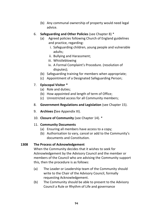- (b) Any communal ownership of property would need legal advice.
- 6. **Safeguarding and Other Policies** (see Chapter 8) \*
	- (a) Agreed policies following Church of England guidelines and practice, regarding:
		- i. Safeguarding children, young people and vulnerable adults;
		- ii. Bullying and Harassment;
		- iii. Whistleblowing
		- iv. A Formal Complaint's Procedure. (resolution of disputes);
	- (b) Safeguarding training for members when appropriate;
	- (c) Appointment of a Designated Safeguarding Person;

### 7. **Episcopal Visitor \***

- (a) Role and duties;
- (b) How appointed and length of term of Office;
- (c) Unrestricted access for all Community members;
- 8. **Government Regulations and Legislation** (see Chapter 15).
- 9. **Archives (**See Appendix III).
- 10. **Closure of Community** (see Chapter 14). \*

### 11. **Community Documents**

- (a) Ensuring all members have access to a copy;
- (b) Authorisation to vary, cancel or add to the Community's documents and Constitution.

### **1308 The Process of Acknowledgement**

When the Community decides that it wishes to seek for Acknowledgement by the Advisory Council and the member or members of the Council who are advising the Community support this, then the procedure is as follows:

- (a) The Leader or Leadership team of the Community should write to the Chair of the Advisory Council, formally requesting Acknowledgement.
- (b) The Community should be able to present to the Advisory Council a Rule or Rhythm of Life and governance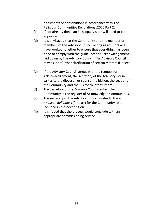documents or constitutions in accordance with The Religious Communities Regulations .2020 Part 2.

- (c) If not already done, an Episcopal Visitor will need to be appointed.
- (d) It is envisaged that the Community and the member or members of the Advisory Council acting as advisors will have worked together to ensure that everything has been done to comply with the guidelines for Acknowledgement laid down by the Advisory Council. The Advisory Council may ask for further clarification of certain matters if it sees fit.
- (e) If the Advisory Council agrees with the request for Acknowledgement, the secretary of the Advisory Council writes to the diocesan or sponsoring bishop, the Leader of the Community and the Visitor to inform them.
- (f) The Secretary of the Advisory Council enters the Community in the register of Acknowledged Communities.
- (g) The secretary of the Advisory Council writes to the editor of *Anglican Religious Life* to ask for the Community to be included in the next edition.
- (h) It is hoped that the process would conclude with an appropriate commissioning service.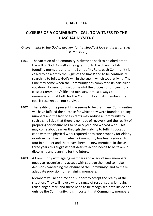### **CHAPTER 14**

# **CLOSURE OF A COMMUNITY - CALL TO WITNESS TO THE PASCHAL MYSTERY**

*O give thanks to the God of heaven: for his steadfast love endures for ever. (*Psalm 136:26*)* 

- **1401** The vocation of a Community is always to seek to be obedient to the will of God. As well as being faithful to the charism of its founding members and to the Spirit of its Rule, each Community is called to be alert to the 'signs of the times' and to be continually searching to follow God's will in the age in which we are living. The time may come when the Community has completed its particular vocation. However difficult or painful the process of bringing to a close a Community's life and ministry, it must always be remembered that both for the Community and its members the goal is resurrection not survival.
- **1402** The reality of the present time seems to be that many Communities will have fulfilled the purpose for which they were founded. Falling numbers and the lack of aspirants may reduce a Community to such a small size that there is no hope of recovery and the reality of preparing for closure has to be accepted and worked with. This may come about earlier through the inability to fulfil its vocation, cope with the physical work required or to care properly for elderly or infirm members. But when a Community has been reduced to four in number and there have been no new members in the last three years this suggests that definite action needs to be taken in discerning and planning for the future.
- **1403** A Community with ageing members and a lack of new members needs to recognise and accept with courage the need to make decisions concerning the closure of the Community, and to make adequate provision for remaining members.

Members will need time and support to accept the reality of the situation. They will have a whole range of responses -grief, pain, relief, anger, fear -and these need to be recognised both inside and outside the Community. It is important that Community members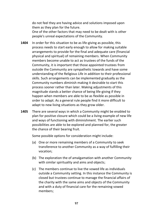do not feel they are having advice and solutions imposed upon them as they plan for the future.

One of the other factors that may need to be dealt with is other people's unreal expectations of the Community.

- **1404** In order for this situation to be as life-giving as possible, this process needs to start early enough to allow for making suitable arrangements to provide for the final and adequate care (financial physical and spiritual) of remaining members. When Community members become unable to act as trustees of the funds of the Community, it is important that those appointed trustees from outside the Community are sympathetic towards and have some understanding of the Religious Life in addition to their professional skills. Such arrangements can be implemented gradually as the Community numbers diminish making it desirable to start this process sooner rather than later. Making adjustments of this magnitude stands a better chance of being life-giving if they happen when members are able to be as flexible as possible in order to adapt. As a general rule people find it more difficult to adapt to new living situations as they grow older.
- **1405** There are several ways in which a Community might be enabled to plan for positive closure which could be a living example of new life and ways of functioning with diminishment. The earlier such possibilities are able to be explored and planned for, the greater the chance of their bearing fruit.

Some possible options for consideration might include:

- (a) One or more remaining members of a Community to seek transference to another Community as a way of fulfilling their vocation;
- (b) The exploration the of amalgamation with another Community with similar spirituality and aims and objects;
- (c) The members continue to live the vowed life as individuals outside a Community setting. In this instance the Community is closed but trustees continue to manage the financial affairs of the charity with the same aims and objects of the Community and with a duty of financial care for the remaining vowed members;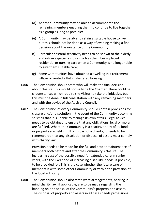- (d) Another Community may be able to accommodate the remaining members enabling them to continue to live together as a group as long as possible;
- (e) A Community may be able to retain a suitable house to live in, but this should not be done as a way of evading making a final decision about the existence of the Community;
- (f) Particular pastoral sensitivity needs to be shown to the elderly and infirm especially if this involves them being placed in residential or nursing care when a Community is no longer able to give them suitable care;
- (g) Some Communities have obtained a dwelling in a retirement village or rented a flat in sheltered housing.
- **1406** The Constitution should state who will make the final decision about closure. This would normally be the Chapter. There could be circumstances which require the Visitor to take the initiative, but this must be done in full consultation with any remaining members and with the advice of the Advisory Council.
- **1407** The Constitution of every Community should contain provisions for closure and/or dissolution in the event of the Community becoming so small that it is unable to manage its own affairs. Legal advice needs to be obtained to ensure that any obligations, legal or moral are fulfilled. Where the Community is a charity, or any of its funds or property are held in full or in part of a charity, it needs to be remembered that any dissolution or disposal of assets must comply with charity law.

Provision needs to be made for the full and proper maintenance of members both before and after the Community's closure. The increasing cost of the possible need for extended care in senior years, with the likelihood of increasing disability, needs, if possible, to be provided for. This is the case whether the future care of members is with some other Community or within the provision of the local authority.

**1408** The Constitution should also state what arrangements, bearing in mind charity law, if applicable, are to be made regarding the handing on or disposal of the Community's property and assets. The disposal of property and assets in all cases needs professional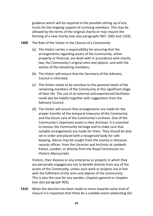guidance which will be required in the possible setting up of any trusts for the ongoing support of surviving members. This may be allowed by the terms of the original charity or may require the forming of a new charity (see also paragraphs 907, 1002 and 1103).

- **1409** The Role of the Visitor in the Closure of a Community
	- (a) The Visitor carries a responsibility for ensuring that the arrangements regarding assets of the Community, either property or financial, are dealt with in accordance with charity law, the Community's original aims and objects, and with the wishes of the remaining members;
	- (b) The Visitor will ensure that the Secretary of the Advisory Council is informed;
	- (c) The Visitor needs to be sensitive to the pastoral needs of the remaining members of the Community at this significant stage of their life. The use of an external and experienced facilitator could also be helpful together with suggestions from the Advisory Council;
	- (d) The Visitor will ensure that arrangements are made for the proper transfer of the temporal treasures of the Community and the future care of the Community's archives. One of the Community's important assets is their Archives. It is essential to honour the Community heritage and to make sure that suitable arrangements are made for them. They should be duly set in order and placed with a recognised body for safe keeping. Advice may be sought from the county or diocesan records officer, from the Librarian and Archivist at Lambeth Palace, London, or directly from the Royal Commission on Historic Manuscripts.

Visitors, their diocese or any enterprise or projects in which they are personally engaged are not to benefit directly from any of the assets of the Community, unless such work or projects are in line with the fulfilment of the aims and objects of the Community. This is also the case for any warden, chaplain-general or chaplain (see also paragraph 903).

**1410** When the decision has been made to move towards some kind of closure it is important that there be a suitable event celebrating the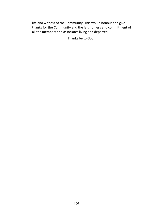life and witness of the Community. This would honour and give thanks for the Community and the faithfulness and commitment of all the members and associates living and departed.

Thanks be to God.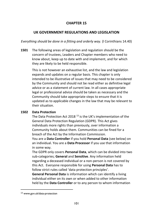## **CHAPTER 15**

## **UK GOVERNMENT REGULATIONS AND LEGISLATION**

*Everything should be done in a fitting and orderly way.* (l Corinthians 14.40)

**1501** The following areas of legislation and regulation should be the concern of trustees, Leaders and Chapter members who need to know about, keep up to date with and implement, and for which they are likely to be held responsible.

> This is not however an exhaustive list, and the law and legislation expands and updates on a regular basis. This chapter is only intended to be illustrative of issues that may need to be considered by the Community and should not be read either as definitive legal advice or as a statement of current law. In all cases appropriate legal or professional advice should be taken as necessary and the Community should take appropriate steps to ensure that it is updated as to applicable changes in the law that may be relevant to their situation.

### **1502 Data Protection**

The Data Protection Act 2018<sup>13</sup> is the UK's implementation of the General Data Protection Regulation (GDPR). This Act gives individuals more rights than previously, over information a Community holds about them. Communities can be fined for a breach of the Act by the Information Commission.

You are a **Data Controller** if you hold **Personal Data** (see below) on an individual. You are a **Data Processor** if you use that information in some way.

The GDPR only covers **Personal Data**, which can be divided into two sub-categories; **General** and **Sensitive**. Any information held regarding a deceased individual or a non-person is not covered by this Act. Everyone responsible for using **Personal Data** has to follow strict rules called 'data protection principles'.

**General Personal Data** is information which can identify a living individual either on its own or when added to other information held by the **Data Controller** or to any person to whom information

<sup>13</sup> [www.gov.uk/](http://www.gov.uk/)data-protection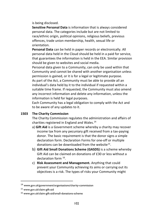is being disclosed.

**Sensitive Personal Data** is information that is always considered personal data. The categories include but are not limited to race/ethnic origin, political opinions, religious beliefs, previous offences, trade union membership, health, sexual life or orientation.

**Personal Data** can be held in paper records or electronically. All personal data held in the Cloud should be held in a paid for service, that guarantees the information is held in the EEA. Similar provision should be given to websites and social media.

Personal data given to a Community, can only be used within that Community and cannot be shared with another organisation unless permission is gained, or it is for a legal or legitimate purpose. As part of the Act, a Community must be able to provide all an individual's data held by it to the individual if requested within a suitable time frame. If requested, the Community must also amend any incorrect information and delete any information, unless the information is held for legal purposes.

Each Community has a legal obligation to comply with the Act and to be aware of any updates to it.

#### **1503 The Charity Commission**

The Charity Commission regulates the administration and affairs of charities registered in England and Wales. 14

- a) **Gift Aid** is a Government scheme whereby a charity may recover income tax from any pecuniary gift received from a tax-paying donor. The basic requirement is that the donor signs a simple declaration form. Declaration Forms for one-off or multiple donations can be downloaded from the website<sup>15</sup>.
- b) **Gift Aid Small Donations Scheme (GASDS)** is a scheme whereby Gift Aid can be claimed on donations of £30 or less without a declaration form <sup>16</sup>.
- c) **Risk Assessment and Management.** Anything that could prevent your Community achieving its aims or carrying out its objectives is a risk. The types of risks your Community might

<sup>14</sup> [www.gov.uk/government/organisations/charity-commission](http://www.gov.uk/government/organisations/charity-commission)

<sup>15</sup> www.gov.uk/claim-gift-aid

<sup>16</sup> [www.gov.uk/claim-gift-aid/small-donations-scheme](http://www.gov.uk/claim-gift-aid/small-donations-scheme)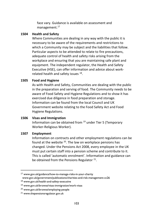face vary. Guidance is available on assessment and management.<sup>17</sup>

#### **1504 Health and Safety**

Where Communities are dealing in any way with the public it is necessary to be aware of the requirements and restrictions to which a Community may be subject and the liabilities that follow. Particular aspects to be attended to relate to fire precautions, adequate control of health and safety risks arising from the workplace and ensuring that you are maintaining safe plant and equipment. The independent regulator, the Health and Safety Executive (HSE), can offer information and advice about workrelated health and safety issues <sup>18</sup>.

#### **1505 Food and Hygiene**

As with Health and Safety, Communities are dealing with the public in the preparation and serving of food. The Community needs to be aware of Food Safety and Hygiene Regulations and to show it has exercised due diligence in food preparation and storage. Information can be found from the local Council and UK Government website relating to the Food Safety Act and Food Hygiene Regulations.

#### **1506 Visas and Immigration**

Information can be obtained from <sup>19</sup> under Tier 5 (Temporary Worker-Religious Worker).

#### **1507 Employment**

Information on contracts and other employment regulations can be found at the website <sup>20</sup>. The law on workplace pensions has changed. Under the Pensions Act 2008, every employee in the UK must put certain staff into a pension scheme and contribute to it. This is called 'automatic enrolment'. Information and guidance can be obtained from the Pensions Regulator  $21$ .

<sup>17</sup> [www.gov.uk/guidance/how-to-manage-risks-in-your-charity](http://www.gov.uk/guidance/how-to-manage-risks-in-your-charity) www.gov.uk/government/publications/charities-and-risk-management-cc26

<sup>18</sup> www.gov.uk/health-and-safety-executive

<sup>19</sup> [www.gov.uk/browse/visas-immigration/work-visas](http://www.gov.uk/browse/visas-immigration/work-visas)

<sup>20</sup> [www.gov.uk/browse/employing-people](http://www.gov.uk/browse/employing-people)

<sup>21</sup> www.thepensionsregulator.gov.uk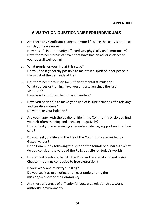# **A VISITATION QUESTIONNAIRE FOR INDIVIDUALS**

- 1. Are there any significant changes in your life since the last Visitation of which you are aware? How has life in Community affected you physically and emotionally? Have there been areas of strain that have had an adverse effect on your overall well-being?
- 2. What nourishes your life at this stage? Do you find it generally possible to maintain a spirit of inner peace in the midst of the demands of life?
- 3. Has there been provision for sufficient mental stimulation? What courses or training have you undertaken since the last Visitation? Have you found them helpful and creative?
- 4. Have you been able to make good use of leisure activities of a relaxing and creative nature? Do you take your holidays?
- 5. Are you happy with the quality of life in the Community or do you find yourself often thinking and speaking negatively? Do you feel you are receiving adequate guidance, support and pastoral care?
- 6. Do you feel your life and the life of the Community are guided by Gospel values? Is the Community following the spirit of the founder/foundress? What do you consider the value of the Religious Life for today's world?
- 7. Do you feel comfortable with the Rule and related documents? Are Chapter meetings conducive to free expression?
- 8. Is your work and ministry fulfilling? Do you see it as promoting or at least undergirding the mission/ministry of the Community?
- 9. Are there any areas of difficulty for you, e.g., relationships, work, authority, environment?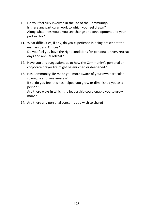- 10. Do you feel fully involved in the life of the Community? Is there any particular work to which you feel drawn? Along what lines would you see change and development and your part in this?
- 11. What difficulties, if any, do you experience in being present at the eucharist and Offices? Do you feel you have the right conditions for personal prayer, retreat days and annual retreat?
- 12. Have you any suggestions as to how the Community's personal or corporate prayer life might be enriched or deepened?
- 13. Has Community life made you more aware of your own particular strengths and weaknesses? If so, do you feel this has helped you grow or diminished you as a person? Are there ways in which the leadership could enable you to grow more?
- 14. Are there any personal concerns you wish to share?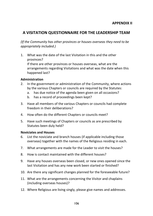# **A VISITATION QUESTIONNAIRE FOR THE LEADERSHIP TEAM**

*(If the Community has other provinces or houses overseas they need to be appropriately included.)* 

1. What was the date of the last Visitation in this and the other provinces? If there are other provinces or houses overseas, what are the arrangements regarding Visitations and what was the date when this happened last?

#### **Administration**

- 2. In the government or administration of the Community, where actions by the various Chapters or councils are required by the Statutes:
	- a. has due notice of the agenda been given on all occasions?
	- b. has a record of proceedings been kept?
- 3. Have all members of the various Chapters or councils had complete freedom in their deliberations?
- 4. How often do the different Chapters or councils meet?
- 5. Have such meetings of Chapters or councils as are prescribed by Statutes been duly held?

#### **Noviciates and Houses**

- 6. List the noviciate and branch houses (if applicable including those overseas) together with the names of the Religious residing in each.
- 7. What arrangements are made for the Leader to visit the houses?
- 8. How is contact maintained with the different houses?
- 9. Have any houses overseas been closed, or new ones opened since the last Visitation and has any new work been started or finished?
- 10. Are there any significant changes planned for the foreseeable future?
- 11. What are the arrangements concerning the Visitor and chaplains (including overseas houses)?
- 12. Where Religious are living singly, please give names and addresses.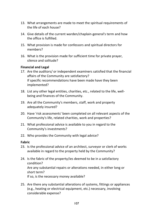- 13. What arrangements are made to meet the spiritual requirements of the life of each house?
- 14. Give details of the current warden/chaplain-general's term and how the office is fulfilled.
- 15. What provision is made for confessors and spiritual directors for members?
- 16. What is the provision made for sufficient time for private prayer, silence and solitude?

### **Financial and Legal**

- 17. Are the auditors/ or independent examiners satisfied that the financial affairs of the Community are satisfactory? If specific recommendations have been made have they been implemented?
- 18. List any other legal entities, charities, etc., related to the life, wellbeing and finances of the Community.
- 19. Are all the Community's members, staff, work and property adequately insured?
- 20. Have 'risk assessments' been completed on all relevant aspects of the Community's life, related charities, work and properties?
- 21. What professional advice is available to you in regard to the Community's investments?
- 22. Who provides the Community with legal advice?

#### **Fabric**

- 23. Is the professional advice of an architect, surveyor or clerk of works available in regard to the property held by the Community?
- 24. Is the fabric of the property/ies deemed to be in a satisfactory condition? Are any substantial repairs or alterations needed, in either long or short term? If so, is the necessary money available?
- 25. Are there any substantial alterations of systems, fittings or appliances (e.g., heating or electrical equipment, etc.) necessary, involving considerable expense?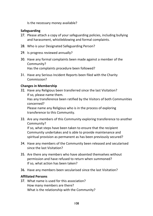Is the necessary money available?

#### **Safeguarding**

- 27. Please attach a copy of your safeguarding policies, including bullying and harassment, whistleblowing and formal complaints.
- 28. Who is your Designated Safeguarding Person?
- 29. Is progress reviewed annually?
- 30. Have any formal complaints been made against a member of the Community? Has the complaints procedure been followed?
- 31. Have any Serious Incident Reports been filed with the Charity Commission?

#### **Changes in Membership**

32. Have any Religious been transferred since the last Visitation? If so, please name them.

Has any transference been ratified by the Visitors of both Communities concerned?

Please name any Religious who is in the process of exploring transference to this Community.

33. Are any members of this Community exploring transference to another Community?

If so, what steps have been taken to ensure that the recipient Community undertakes and is able to provide maintenance and spiritual provision as permanent as has been previously secured?

- 34. Have any members of the Community been released and secularised since the last Visitation?
- 35. Are there any members who have absented themselves without permission and have refused to return when summoned? If so, what action has been taken?
- 36. Have any members been secularised since the last Visitation?

### **Affiliated Persons**

37. What name is used for this association? How many members are there? What is the relationship with the Community?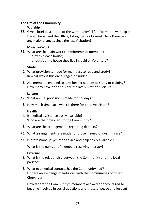#### **The Life of the Community Worship**

38. Give a brief description of the Community's life of common worship in the eucharist and the Office, listing the books used. Have there been any major changes since the last Visitation?

### **Ministry/Work**

- 39. What are the main work commitments of members:
	- (a) within each house;
	- (b) outside the house they live in, paid or Voluntary?

### **Study**

- 40. What provision is made for members to read and study? In what way is this encouraged or guided?
- 41. Are members enabled to take further courses of study or training? How many have done so since the last Visitation? Leisure

#### **Leisure**

- 42. What annual provision is made for holidays?
- 43. How much time each week is there for creative leisure?

### **Health**

- 44. Is medical assistance easily available? Who are the physicians to the Community?
- 45. What are the arrangements regarding dentists?
- 46. What arrangements are made for those in need of nursing care?
- 47. Is professional psychiatric advice and help easily available?

What is the number of members receiving therapy?

### **External**

- 48. What is the relationship between the Community and the local parishes?
- 49. What ecumenical contacts has the Community had? Is there an exchange of Religious with the Communities of other Churches?
- 50. How far are the Community's members allowed or encouraged to become involved in social questions and those of peace and justice?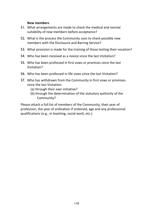#### **New members**

- 51. What arrangements are made to check the medical and mental suitability of new members before acceptance?
- 52. What is the process the Community uses to check possible new members with the Disclosure and Barring Service?
- 53. What provision is made for the training of those testing their vocation?
- 54. Who has been received as a novice since the last Visitation?
- 55. Who has been professed in first vows or promises since the last Visitation?
- 56. Who has been professed in life vows since the last Visitation?
- 57. Who has withdrawn from the Community in first vows or promises since the last Visitation:
	- (a) through their own initiative?
	- (b) through the determination of the statutory authority of the Community?

Please attach a full list of members of the Community, their year of profession, the year of ordination if ordained, age and any professional qualifications (e.g., in teaching, social work, etc.).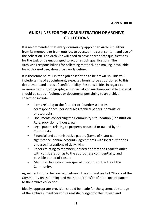# **GUIDELINES FOR THE ADMINISTRATION OF ARCHIVE COLLECTIONS**

It is recommended that every Community appoint an Archivist, either from its members or from outside, to oversee the care, content and use of the collection. The Archivist will need to have appropriate qualifications for the task or be encouraged to acquire such qualifications. The Archivist's responsibilities for collecting material, and making it available for authorised use, should be clearly defined.

It is therefore helpful in for a job description to be drawn up. This will include terms of appointment, expected hours to be apportioned to this department and areas of confidentiality. Responsibilities in regard to museum items, photographs, audio-visual and machine-readable material should be set out. Volumes or documents pertaining to an archive collection include:

- Items relating to the founder or foundress: diaries, correspondence, personal biographical papers, portraits or photographs.
- Documents concerning the Community's foundation (Constitution, Rule, provision of house, etc.)
- Legal papers relating to property occupied or owned by the Community.
- Financial and administrative papers (items of historical significance, annual accounts, agreements with local authorities, and also illustrations of daily living).
- Papers relating to members (passed on from the Leader's office) with consideration as to the appropriate confidentiality and possible period of closure.
- Memorabilia drawn from special occasions in the life of the Community.

Agreement should be reached between the archivist and all Officers of the Community on the timing and method of transfer of non-current papers to the archive collection.

Ideally, appropriate provision should be made for the systematic storage of the archives, together with a realistic budget for the upkeep and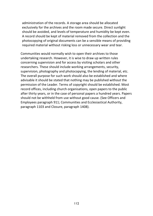administration of the records. A storage area should be allocated exclusively for the archives and the room made secure. Direct sunlight should be avoided, and levels of temperature and humidity be kept even. A record should be kept of material removed from the collection and the photocopying of original documents can be a sensible means of providing required material without risking loss or unnecessary wear and tear.

Communities would normally wish to open their archives to those undertaking research. However, it is wise to draw up written rules concerning supervision and for access by visiting scholars and other researchers. These should include working arrangements, security, supervision, photography and photocopying, the lending of material, etc. The overall purpose for such work should also be established and where advisable it should be stated that nothing may be published without the permission of the Leader. Terms of copyright should be established. Most record offices, including church organisations, open papers to the public after thirty years, or in the case of personal papers a hundred years. Papers should not be withheld from use without good cause. (See Officers and Employees paragraph 911; Communities and Ecclesiastical Authority, paragraph 1103 and Closure, paragraph 1408).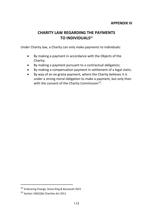# **CHARITY LAW REGARDING THE PAYMENTS TO INDIVIDUALS<sup>22</sup>**

Under Charity law, a Charity can only make payments to individuals:

- By making a payment in accordance with the Objects of the Charity;
- By making a payment pursuant to a contractual obligation;
- By making a compensation payment in settlement of a legal claim;
- By way of an ex-gratia payment, where the Charity believes it is under a strong moral obligation to make a payment, but only then with the consent of the Charity Commission<sup>23</sup>.

<sup>22</sup> Embracing Change, Stone King & Buzzacott 2015

<sup>&</sup>lt;sup>23</sup> Section 106(2)(b) Charities Act 2011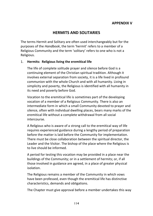# **HERMITS AND SOLITARIES**

The terms Hermit and Solitary are often used interchangeably but for the purposes of the *Handbook*, the term 'hermit' refers to a member of a Religious Community and the term 'solitary' refers to one who is not a Religious.

#### 1. **Hermits: Religious living the eremitical life**

The life of complete solitude prayer and silence before God is a continuing element of the Christian spiritual tradition. Although it involves external separation from society, it is a life lived in profound communion with the whole Church and with all humanity. Living in simplicity and poverty, the Religious is identified with all humanity in its need and poverty before God.

Vocation to the eremitical life is sometimes part of the developing vocation of a member of a Religious Community. There is also an intermediate form in which a small Community devoted to prayer and silence, often with individual dwelling places, bears many marks of the eremitical life without a complete withdrawal from all social intercourse.

A Religious who is aware of a strong call to the eremitical way of life requires experienced guidance during a lengthy period of preparation before the matter is laid before the Community for implementation. There must be close collaboration between the spiritual director, the Leader and the Visitor. The bishop of the place where the Religious is to live should be informed.

A period for testing this vocation may be provided in a place near the buildings of the Community; or in a settlement of hermits; or, if all those involved in guidance are agreed, in a place of greater physical isolation.

The Religious remains a member of the Community in which vows have been professed, even though the eremitical life has distinctive characteristics, demands and obligations.

The Chapter must give approval before a member undertakes this way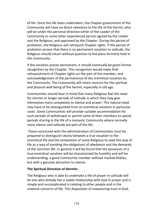of life. Once this life been undertaken, the Chapter government of the Community will have no direct relevance to the life of the hermit, who will be under the personal direction either of the Leader of the Community or some other experienced person agreed by the Leader and the Religious, and approved by the Chapter. During the period of probation, the Religious will relinquish Chapter rights. If the period of probation proves that there is no permanent vocation to solitude, the Religious should return without question to the place formerly held in the Community.

If the vocation proves permanent, it should eventually be given formal recognition by the Chapter. This recognition would imply final relinquishment of Chapter rights on the part of the member, and acknowledgement of the permanence of the eremitical vocation by the Community. The Community will retain concern for the spiritual and physical well-being of the hermit, especially in old age.

Communities should bear in mind that many Religious feel the need for shorter or longer periods of solitude in which they may give themselves more completely to silence and prayer. This natural need may have to be distinguished from an eremitical vocation in particular cases. Some Communities will provide suitable accommodation for such periods of withdrawal or permit some of their members to spend periods sharing in the life of a monastic Community where normally more silence and solitude are part of the life.

Those concerned with the administration of Communities must be prepared to distinguish clearly between a true vocation to the eremitical life and the temptation of some Religious to seek this way of life as a way of avoiding the obligations of obedience and the demands of the common life. In general it will be found that the possessor of a true eremitical vocation will be characterised by humility and will be undemanding, a good Community member without marked foibles, but with a genuine attraction to silence.

#### **The Spiritual Direction of Hermits**

The Religious who is able to undertake a life of prayer in solitude will be one who already has a stable relationship with God in prayer and is simple and uncomplicated in relating to other people and in the material concerns of life. This disposition of unwavering trust in God,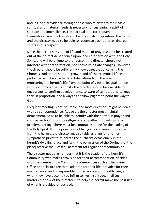and in God's providence through those who minister to their basic spiritual and material needs, is necessary for sustaining a spirit of solitude and inner silence. The spiritual director, though not themselves living the life, should be of a similar disposition. The hermit and the director need to be able to recognise each other as kindred spirits in this respect.

Since the hermit's rhythm of life and mode of prayer should be created out of their direct dependence upon, and co-operation with, the Holy Spirit, and will be unique to that person, the director should not interfere with that formation, nor normally initiate changes. However, the director should be sufficiently knowledgeable concerning the Church's tradition of spiritual growth and of the eremitical life in particular as to be able to detect deviations from the way. In monitoring the hermit's life from the point of view of its goal - union with God through Jesus Christ - the director should be available to encourage, to confirm developments, to warn of temptations, to keep trials in proportion, and always as a fellow pilgrim to point the way to God.

Frequent meeting is not desirable, and most questions might be dealt with by correspondence. Above all, the director must maintain detachment, so as to be able to identify with the hermit in prayer and counsel without imposing self-generated patterns or solutions to problems arising. There must be a mutual listening for the leading of the Holy Spirit. If not a priest, or not living at a convenient distance from the hermit, the director may suitably arrange for another sympathetic priest to celebrate the eucharist occasionally in the hermit's dwelling-place and (with the permission of the Ordinary of the place) reserve the Blessed Sacrament for regular holy communion.

The director needs remember that it is the Leader of the hermit's Community who makes provision for their accommodation, decides with the member how Community observances such as the Divine Office or enclosure are to be adapted for their life, provides for their maintenance, and is responsible for decisions about health care, and when they have become too infirm to live in solitude. In all such matters the task of the director is to help the hermit make the best use of what is provided or decided.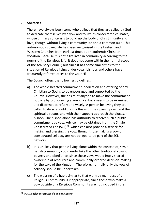### 2. **Solitaries**

There have always been some who believe that they are called by God to dedicate themselves by a vow and to live as consecrated celibates, whose primary concern is to build up the body of Christ in unity and love, though without living a community life and a common Rule. This autonomous vowed life has been recognised in the Eastern and Western Churches from earliest times as an authentic Christian vocation. Because it is not a life lived in community according to the norms of the Religious Life, it does not come within the normal scope of the Advisory Council; but since it has some similarities to the situation of Religious living under vows, bishops and others have frequently referred cases to the Council.

The Council offers the following guidelines:

- a) The whole-hearted commitment, dedication and offering of any Christian to God is to be encouraged and supported by the Church. However, the desire of anyone to make the commitment publicly by pronouncing a vow of celibacy needs to be examined and discerned carefully and wisely. A person believing they are called to do so should discuss this with their parish priest and their spiritual director, and with their support approach the diocesan bishop. The bishop alone has authority to receive such a public commitment by vow. Advice may be obtained from the Single Consecrated Life (SCL) $^{24}$ , which can also provide a service for making and blessing the vow, though those making a vow of consecrated celibacy are not obliged to be part of the SCL network*.*
- b) It is unlikely that people living alone within the context of, say, a parish community could undertake the other traditional vows of poverty and obedience, since these vows would imply shared ownership of resources and communally ordered decision-making for the sake of the kingdom. Therefore, normally only the vow of celibacy should be undertaken.
- c) The wearing of a habit similar to that worn by members of a Religious Community is inappropriate, since those who make a vow outside of a Religious Community are not included in the

<sup>24</sup> www.singleconsecratedlife-anglican.org.uk